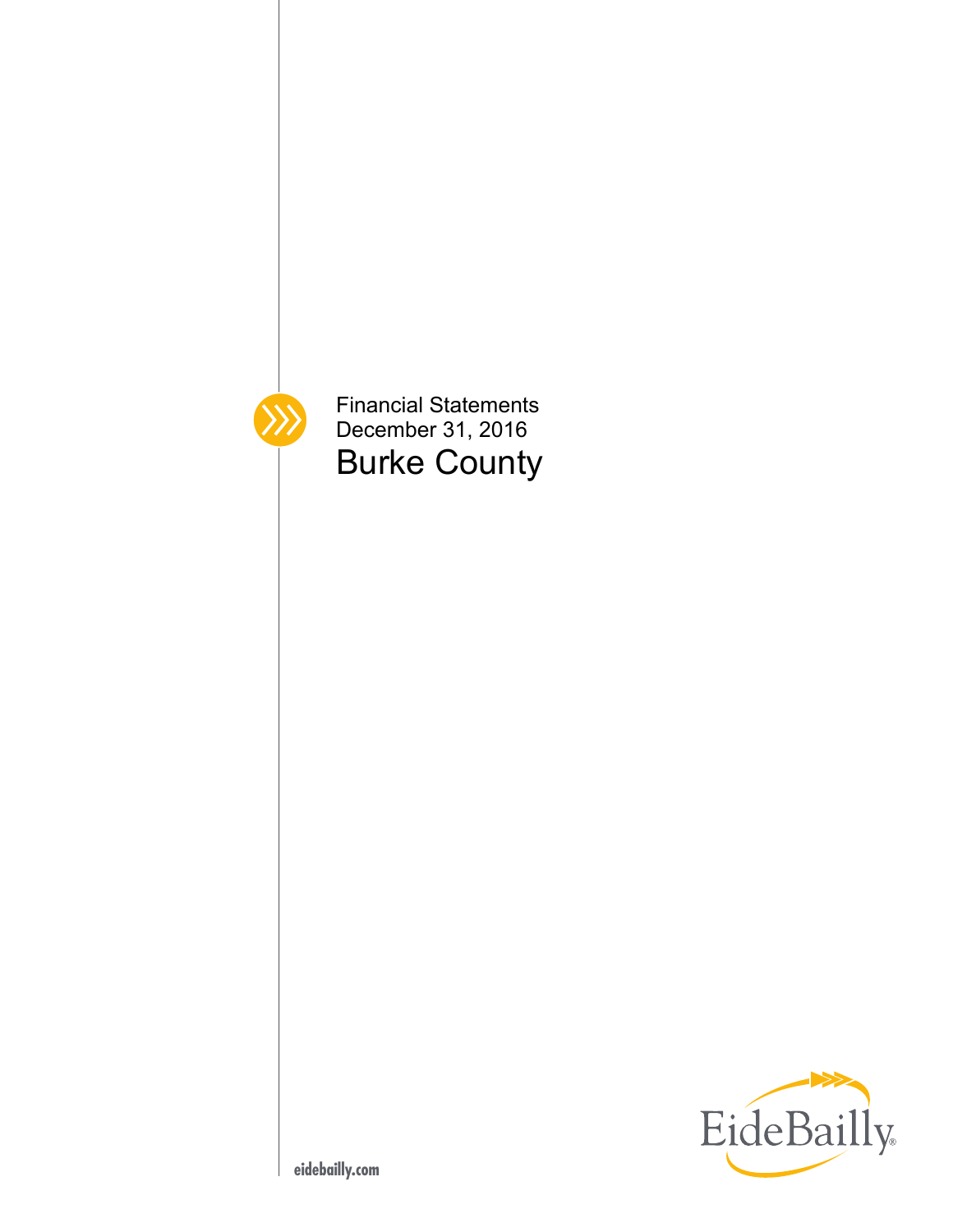

Financial Statements December 31, 2016 Burke County

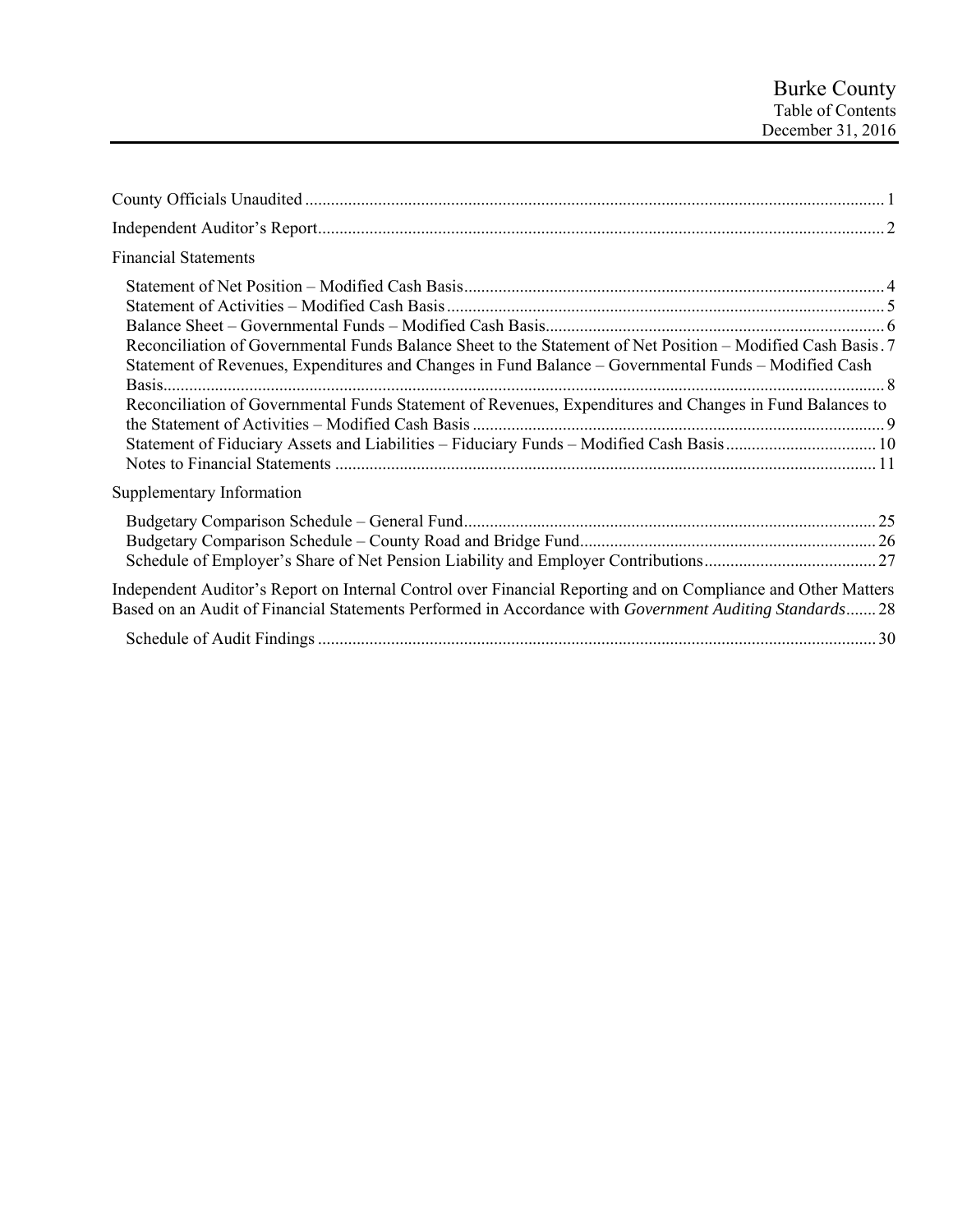| <b>Financial Statements</b>                                                                                                                                                                                                                                                                                                                                                                                                  |  |
|------------------------------------------------------------------------------------------------------------------------------------------------------------------------------------------------------------------------------------------------------------------------------------------------------------------------------------------------------------------------------------------------------------------------------|--|
| Reconciliation of Governmental Funds Balance Sheet to the Statement of Net Position - Modified Cash Basis. 7<br>Statement of Revenues, Expenditures and Changes in Fund Balance - Governmental Funds - Modified Cash<br>Reconciliation of Governmental Funds Statement of Revenues, Expenditures and Changes in Fund Balances to<br>Statement of Fiduciary Assets and Liabilities - Fiduciary Funds - Modified Cash Basis 10 |  |
| Supplementary Information                                                                                                                                                                                                                                                                                                                                                                                                    |  |
|                                                                                                                                                                                                                                                                                                                                                                                                                              |  |
| Independent Auditor's Report on Internal Control over Financial Reporting and on Compliance and Other Matters<br>Based on an Audit of Financial Statements Performed in Accordance with Government Auditing Standards28                                                                                                                                                                                                      |  |
|                                                                                                                                                                                                                                                                                                                                                                                                                              |  |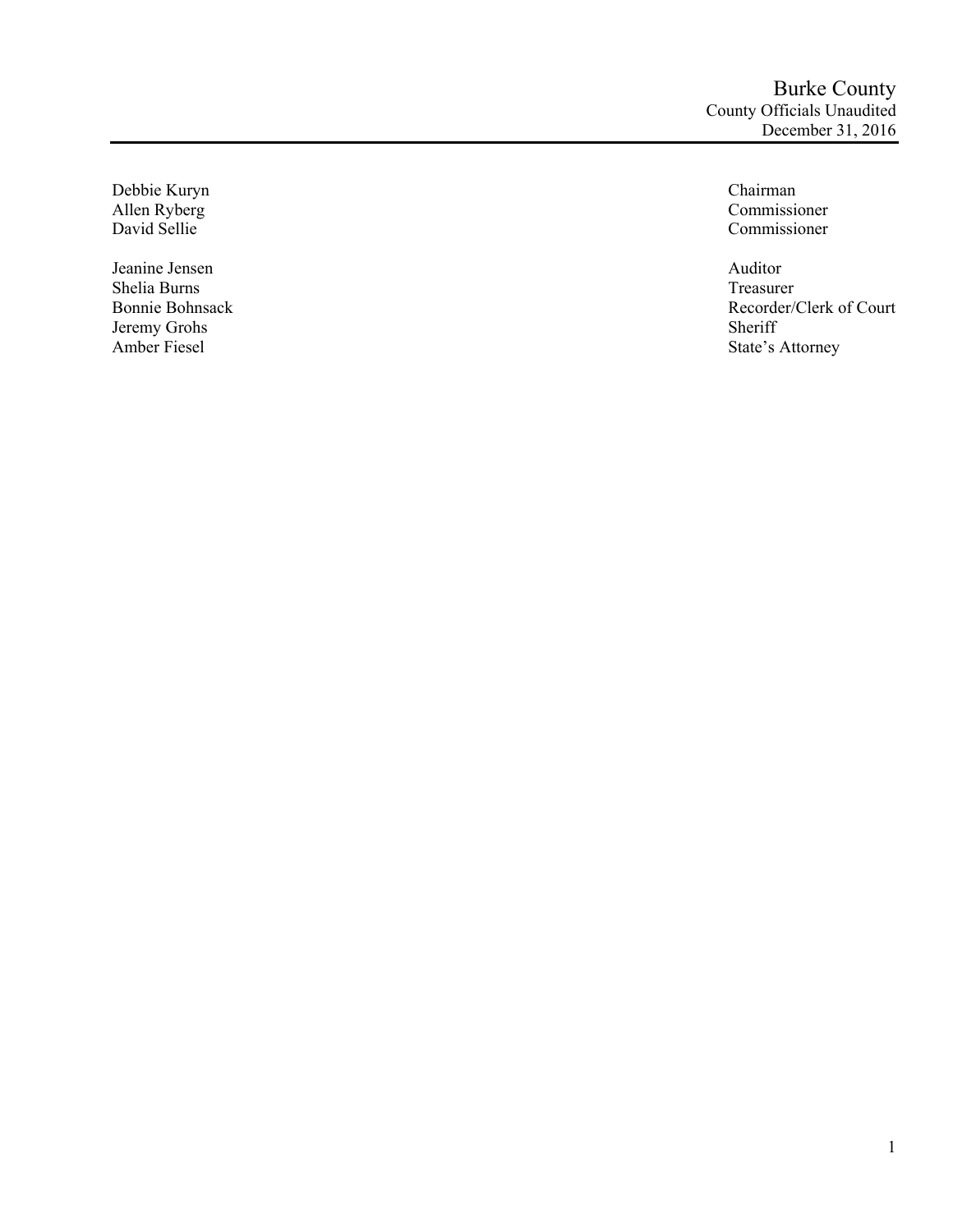Allen Ryberg<br>David Sellie

Jeanine Jensen Auditor Shelia Burns Treasurer Jeremy Grohs Sheriff<br>
Amber Fiesel State's Amber State's Amber State's Amber State's Amber State's Amber State's Amber State's Amber State's Amber State's Amber State's Amber State's Amber State's Amber State's Amber State

Debbie Kuryn Chairman<br>Allen Ryberg Commissioner Commissioner

Bonnie Bohnsack Recorder/Clerk of Court State's Attorney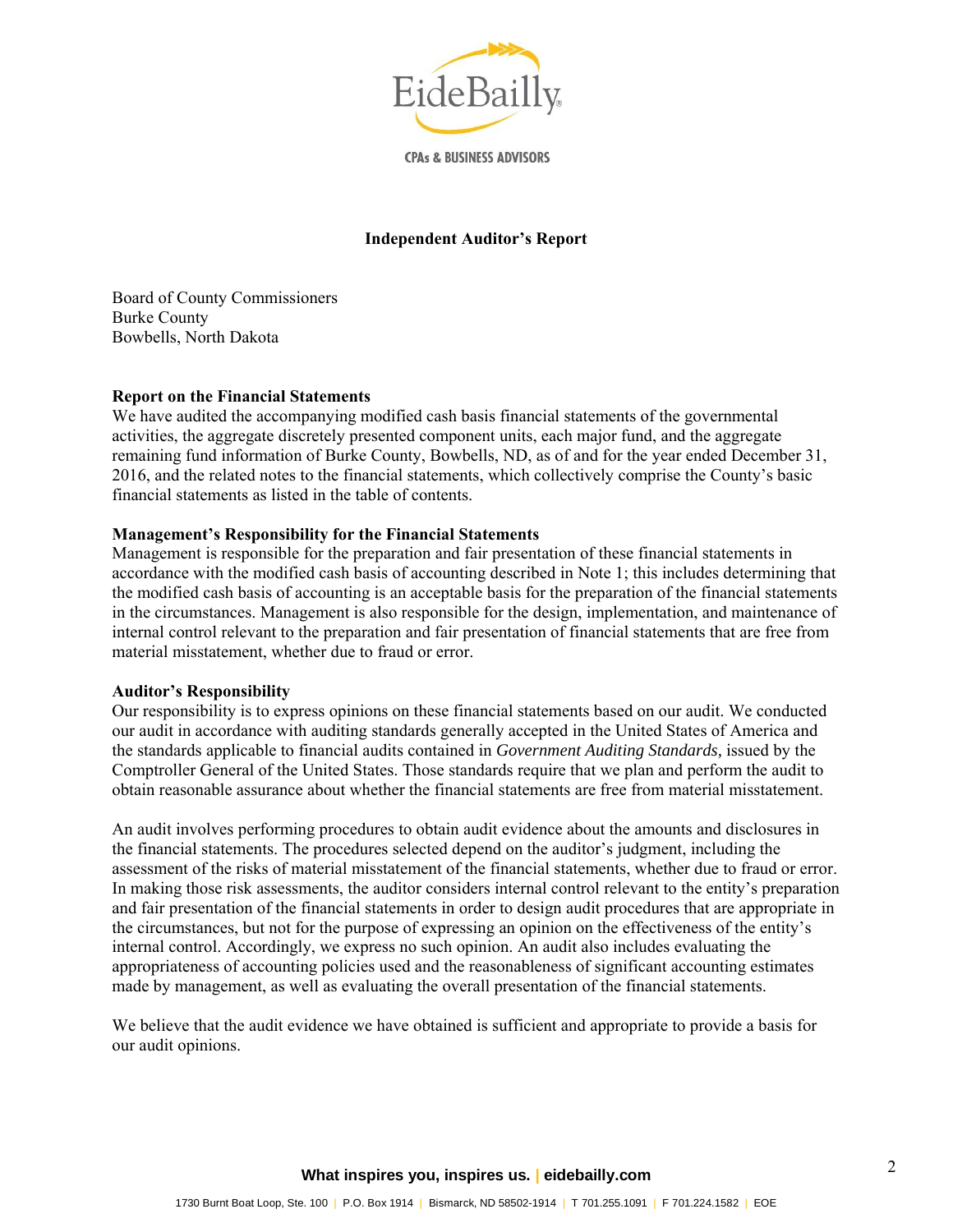

**CPAs & BUSINESS ADVISORS** 

# **Independent Auditor's Report**

Board of County Commissioners Burke County Bowbells, North Dakota

#### **Report on the Financial Statements**

We have audited the accompanying modified cash basis financial statements of the governmental activities, the aggregate discretely presented component units, each major fund, and the aggregate remaining fund information of Burke County, Bowbells, ND, as of and for the year ended December 31, 2016, and the related notes to the financial statements, which collectively comprise the County's basic financial statements as listed in the table of contents.

# **Management's Responsibility for the Financial Statements**

Management is responsible for the preparation and fair presentation of these financial statements in accordance with the modified cash basis of accounting described in Note 1; this includes determining that the modified cash basis of accounting is an acceptable basis for the preparation of the financial statements in the circumstances. Management is also responsible for the design, implementation, and maintenance of internal control relevant to the preparation and fair presentation of financial statements that are free from material misstatement, whether due to fraud or error.

# **Auditor's Responsibility**

Our responsibility is to express opinions on these financial statements based on our audit. We conducted our audit in accordance with auditing standards generally accepted in the United States of America and the standards applicable to financial audits contained in *Government Auditing Standards,* issued by the Comptroller General of the United States. Those standards require that we plan and perform the audit to obtain reasonable assurance about whether the financial statements are free from material misstatement.

An audit involves performing procedures to obtain audit evidence about the amounts and disclosures in the financial statements. The procedures selected depend on the auditor's judgment, including the assessment of the risks of material misstatement of the financial statements, whether due to fraud or error. In making those risk assessments, the auditor considers internal control relevant to the entity's preparation and fair presentation of the financial statements in order to design audit procedures that are appropriate in the circumstances, but not for the purpose of expressing an opinion on the effectiveness of the entity's internal control. Accordingly, we express no such opinion. An audit also includes evaluating the appropriateness of accounting policies used and the reasonableness of significant accounting estimates made by management, as well as evaluating the overall presentation of the financial statements.

We believe that the audit evidence we have obtained is sufficient and appropriate to provide a basis for our audit opinions.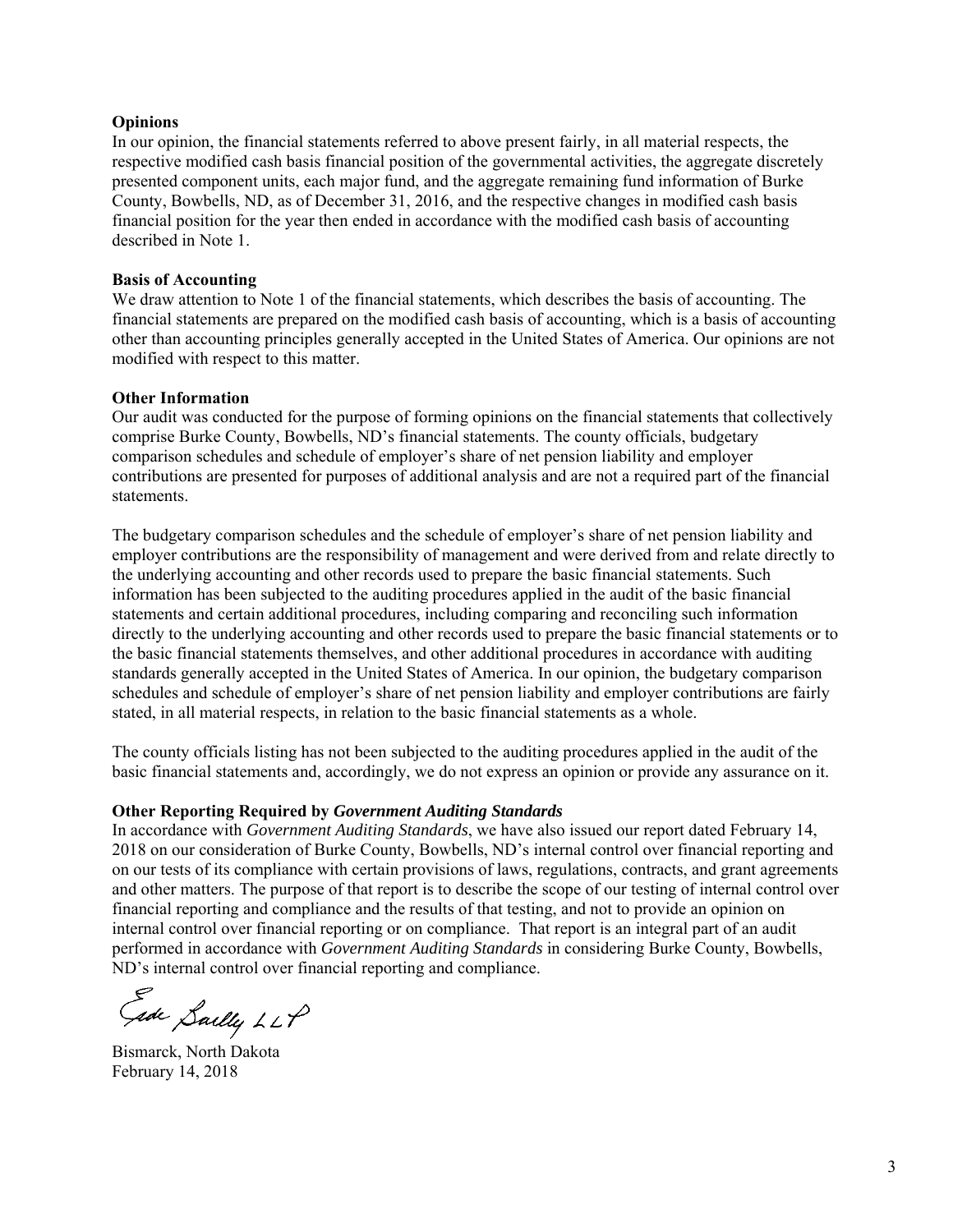#### **Opinions**

In our opinion, the financial statements referred to above present fairly, in all material respects, the respective modified cash basis financial position of the governmental activities, the aggregate discretely presented component units, each major fund, and the aggregate remaining fund information of Burke County, Bowbells, ND, as of December 31, 2016, and the respective changes in modified cash basis financial position for the year then ended in accordance with the modified cash basis of accounting described in Note 1.

#### **Basis of Accounting**

We draw attention to Note 1 of the financial statements, which describes the basis of accounting. The financial statements are prepared on the modified cash basis of accounting, which is a basis of accounting other than accounting principles generally accepted in the United States of America. Our opinions are not modified with respect to this matter.

#### **Other Information**

Our audit was conducted for the purpose of forming opinions on the financial statements that collectively comprise Burke County, Bowbells, ND's financial statements. The county officials, budgetary comparison schedules and schedule of employer's share of net pension liability and employer contributions are presented for purposes of additional analysis and are not a required part of the financial statements.

The budgetary comparison schedules and the schedule of employer's share of net pension liability and employer contributions are the responsibility of management and were derived from and relate directly to the underlying accounting and other records used to prepare the basic financial statements. Such information has been subjected to the auditing procedures applied in the audit of the basic financial statements and certain additional procedures, including comparing and reconciling such information directly to the underlying accounting and other records used to prepare the basic financial statements or to the basic financial statements themselves, and other additional procedures in accordance with auditing standards generally accepted in the United States of America. In our opinion, the budgetary comparison schedules and schedule of employer's share of net pension liability and employer contributions are fairly stated, in all material respects, in relation to the basic financial statements as a whole.

The county officials listing has not been subjected to the auditing procedures applied in the audit of the basic financial statements and, accordingly, we do not express an opinion or provide any assurance on it.

#### **Other Reporting Required by** *Government Auditing Standards*

In accordance with *Government Auditing Standards*, we have also issued our report dated February 14, 2018 on our consideration of Burke County, Bowbells, ND's internal control over financial reporting and on our tests of its compliance with certain provisions of laws, regulations, contracts, and grant agreements and other matters. The purpose of that report is to describe the scope of our testing of internal control over financial reporting and compliance and the results of that testing, and not to provide an opinion on internal control over financial reporting or on compliance. That report is an integral part of an audit performed in accordance with *Government Auditing Standards* in considering Burke County, Bowbells, ND's internal control over financial reporting and compliance.

Gede Sailly LLP

Bismarck, North Dakota February 14, 2018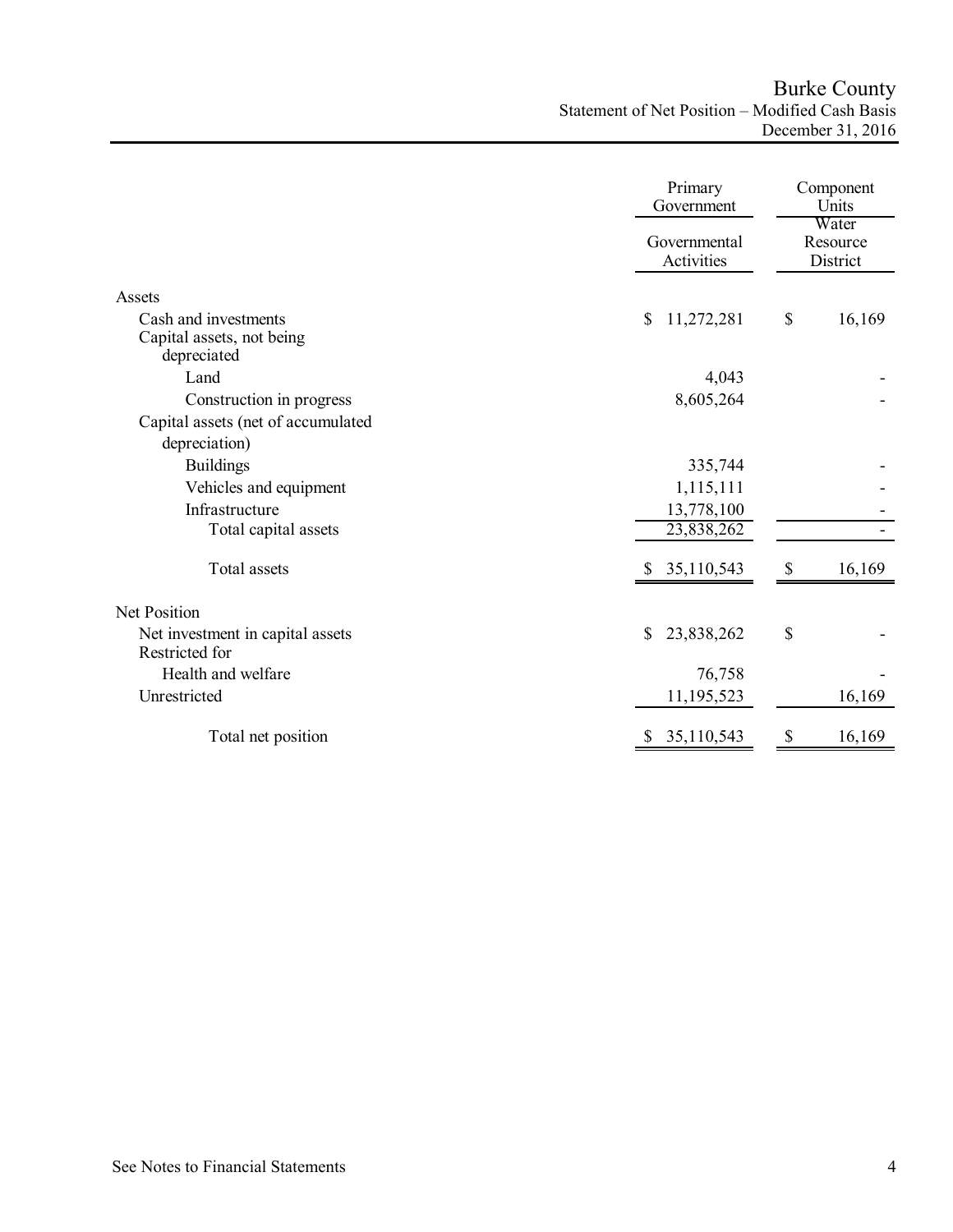# Burke County Statement of Net Position – Modified Cash Basis December 31, 2016

|                                                                  | Primary<br>Government      |      | Component<br>Units            |
|------------------------------------------------------------------|----------------------------|------|-------------------------------|
|                                                                  | Governmental<br>Activities |      | Water<br>Resource<br>District |
| Assets                                                           |                            |      |                               |
| Cash and investments<br>Capital assets, not being<br>depreciated | 11,272,281<br>\$           | $\$$ | 16,169                        |
| Land                                                             | 4,043                      |      |                               |
| Construction in progress                                         | 8,605,264                  |      |                               |
| Capital assets (net of accumulated                               |                            |      |                               |
| depreciation)                                                    |                            |      |                               |
| <b>Buildings</b>                                                 | 335,744                    |      |                               |
| Vehicles and equipment                                           | 1,115,111                  |      |                               |
| Infrastructure                                                   | 13,778,100                 |      |                               |
| Total capital assets                                             | 23,838,262                 |      |                               |
| Total assets                                                     | \$35,110,543               | S    | 16,169                        |
| Net Position                                                     |                            |      |                               |
| Net investment in capital assets<br>Restricted for               | 23,838,262<br>\$           | \$   |                               |
| Health and welfare                                               | 76,758                     |      |                               |
| Unrestricted                                                     | 11,195,523                 |      | 16,169                        |
| Total net position                                               | 35,110,543<br>\$           | \$   | 16,169                        |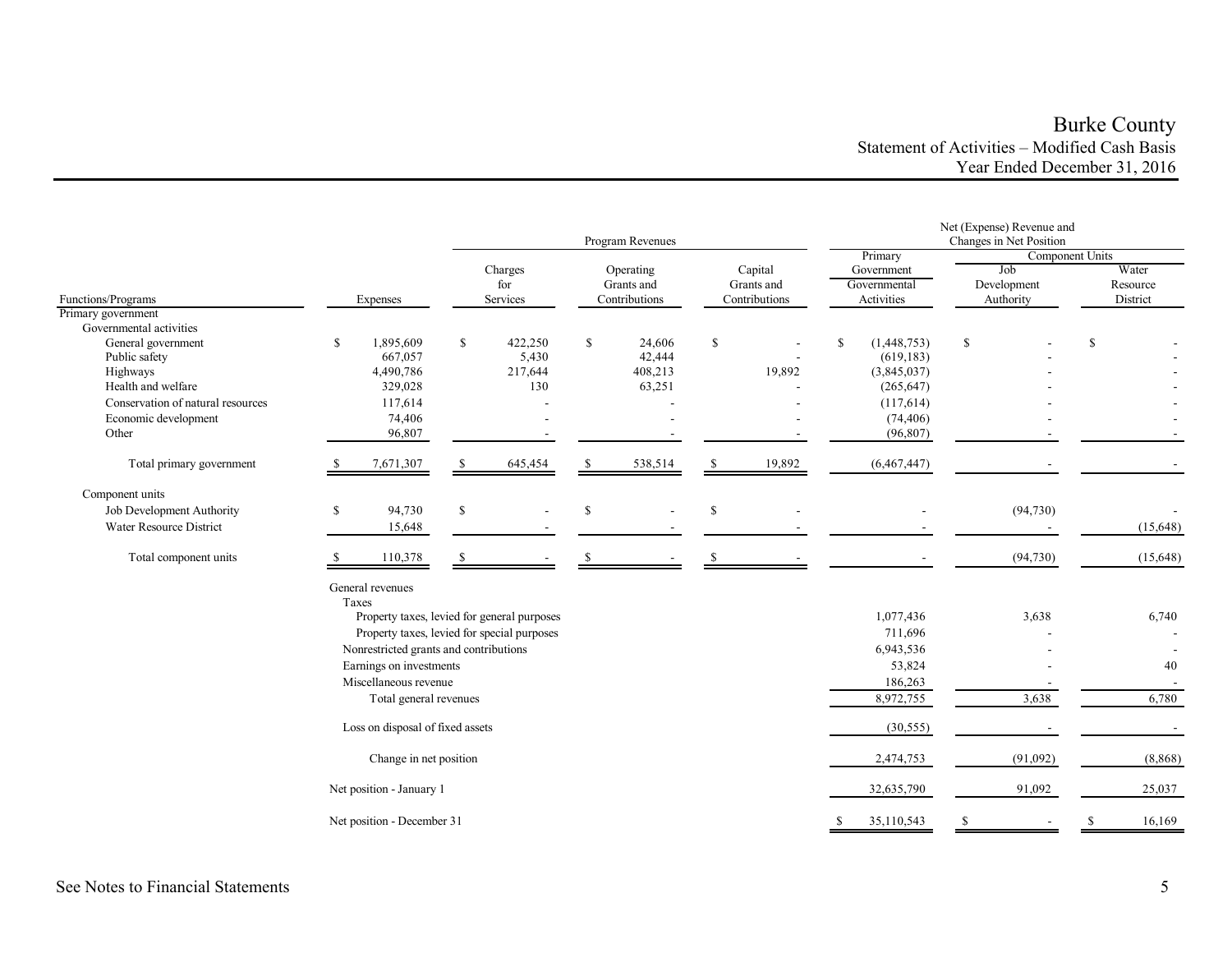# Burke County Statement of Activities – Modified Cash Basis Year Ended December 31, 2016

|                                                                                                                                       |                                                                                                                                                                                                                                                 |                                                         |              |                                    |               | Program Revenues                         |                                        |                                                                                      | Net (Expense) Revenue and<br>Changes in Net Position |                               |
|---------------------------------------------------------------------------------------------------------------------------------------|-------------------------------------------------------------------------------------------------------------------------------------------------------------------------------------------------------------------------------------------------|---------------------------------------------------------|--------------|------------------------------------|---------------|------------------------------------------|----------------------------------------|--------------------------------------------------------------------------------------|------------------------------------------------------|-------------------------------|
|                                                                                                                                       |                                                                                                                                                                                                                                                 |                                                         |              |                                    |               |                                          | Primary                                | <b>Component Units</b>                                                               |                                                      |                               |
| Functions/Programs                                                                                                                    |                                                                                                                                                                                                                                                 | Expenses                                                |              | Charges<br>for<br>Services         |               | Operating<br>Grants and<br>Contributions | Capital<br>Grants and<br>Contributions | Government<br>Governmental<br>Activities                                             | Job<br>Development<br>Authority                      | Water<br>Resource<br>District |
| Primary government                                                                                                                    |                                                                                                                                                                                                                                                 |                                                         |              |                                    |               |                                          |                                        |                                                                                      |                                                      |                               |
| Governmental activities<br>General government<br>Public safety<br>Highways<br>Health and welfare<br>Conservation of natural resources | \$                                                                                                                                                                                                                                              | 1,895,609<br>667,057<br>4,490,786<br>329,028<br>117,614 | \$           | 422,250<br>5,430<br>217,644<br>130 | <sup>\$</sup> | 24,606<br>42,444<br>408,213<br>63,251    | \$<br>19,892                           | (1,448,753)<br><sup>\$</sup><br>(619, 183)<br>(3,845,037)<br>(265, 647)<br>(117,614) | \$                                                   | \$                            |
| Economic development<br>Other                                                                                                         |                                                                                                                                                                                                                                                 | 74,406<br>96,807                                        |              |                                    |               |                                          |                                        | (74, 406)<br>(96, 807)                                                               |                                                      |                               |
| Total primary government                                                                                                              |                                                                                                                                                                                                                                                 | 7,671,307                                               |              | 645,454                            | \$            | 538,514                                  | 19,892                                 | (6,467,447)                                                                          |                                                      |                               |
| Component units                                                                                                                       |                                                                                                                                                                                                                                                 |                                                         |              |                                    |               |                                          |                                        |                                                                                      |                                                      |                               |
| Job Development Authority<br>Water Resource District                                                                                  | \$                                                                                                                                                                                                                                              | 94,730<br>15,648                                        | $\mathbb{S}$ |                                    | \$            |                                          | \$                                     |                                                                                      | (94, 730)                                            | (15,648)                      |
| Total component units                                                                                                                 |                                                                                                                                                                                                                                                 | 110,378                                                 |              |                                    |               |                                          |                                        |                                                                                      | (94, 730)                                            | (15,648)                      |
|                                                                                                                                       | General revenues<br>Taxes<br>Property taxes, levied for general purposes<br>Property taxes, levied for special purposes<br>Nonrestricted grants and contributions<br>Earnings on investments<br>Miscellaneous revenue<br>Total general revenues |                                                         |              |                                    |               |                                          |                                        | 1,077,436<br>711,696<br>6,943,536<br>53,824<br>186,263<br>8,972,755                  | 3,638<br>3,638                                       | 6,740<br>40<br>6,780          |
|                                                                                                                                       |                                                                                                                                                                                                                                                 | Loss on disposal of fixed assets                        |              |                                    |               |                                          |                                        | (30, 555)                                                                            |                                                      |                               |
|                                                                                                                                       |                                                                                                                                                                                                                                                 | Change in net position                                  |              |                                    |               |                                          |                                        | 2,474,753                                                                            | (91,092)                                             | (8, 868)                      |
|                                                                                                                                       |                                                                                                                                                                                                                                                 | Net position - January 1                                |              |                                    |               |                                          |                                        | 32,635,790                                                                           | 91,092                                               | 25,037                        |
|                                                                                                                                       |                                                                                                                                                                                                                                                 | Net position - December 31                              |              |                                    |               |                                          |                                        | 35,110,543<br>-S                                                                     |                                                      | 16,169                        |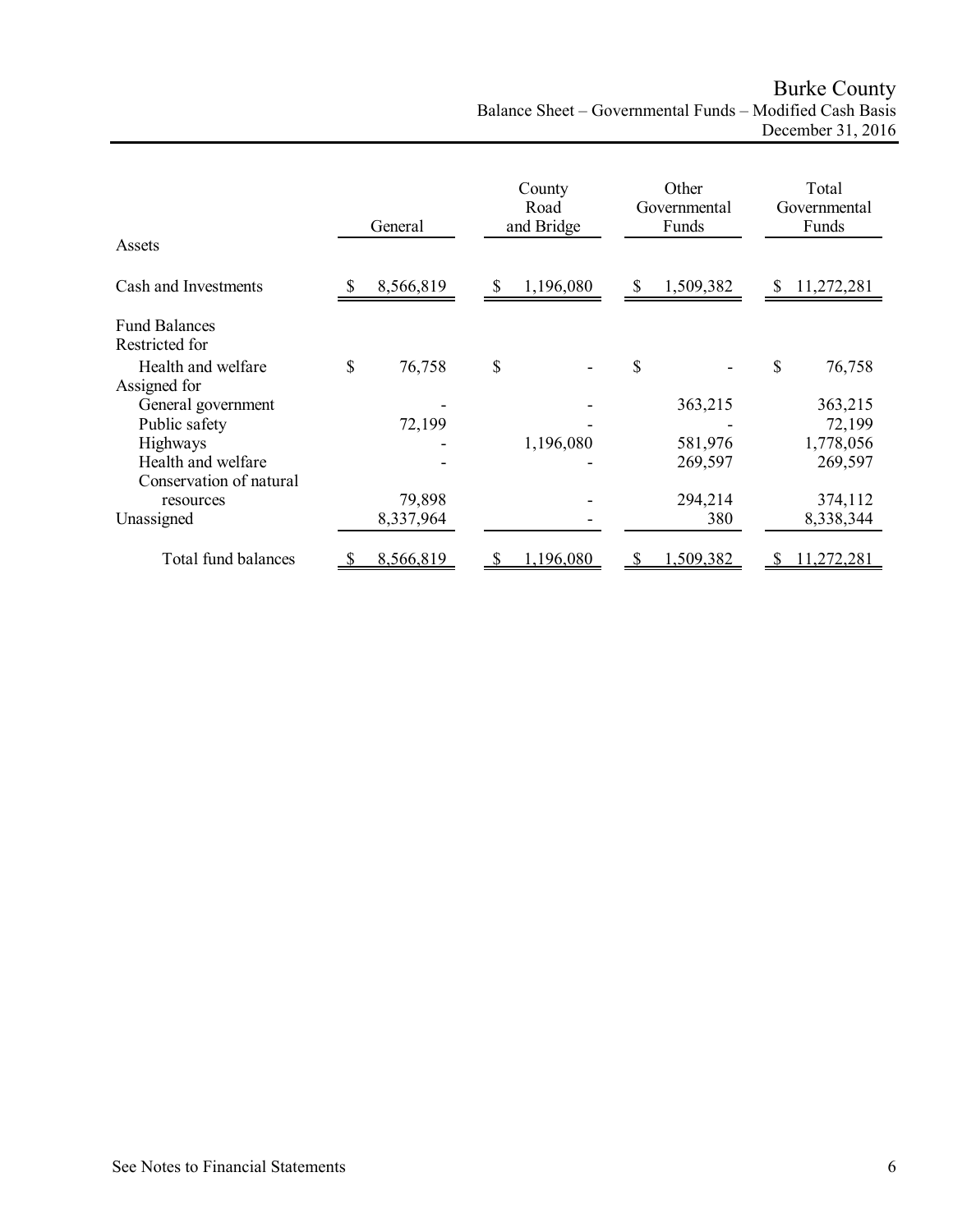Burke County Balance Sheet – Governmental Funds – Modified Cash Basis December 31, 2016

|                                        |          | General   | County<br>Road<br>and Bridge |    | Other<br>Governmental<br>Funds |    | Total<br>Governmental<br>Funds |
|----------------------------------------|----------|-----------|------------------------------|----|--------------------------------|----|--------------------------------|
| Assets                                 |          |           |                              |    |                                |    |                                |
| Cash and Investments                   | <b>S</b> | 8,566,819 | \$<br>1,196,080              | S  | 1,509,382                      | S  | 11,272,281                     |
| <b>Fund Balances</b><br>Restricted for |          |           |                              |    |                                |    |                                |
| Health and welfare<br>Assigned for     | \$       | 76,758    | \$                           | \$ |                                | \$ | 76,758                         |
| General government                     |          |           |                              |    | 363,215                        |    | 363,215                        |
| Public safety                          |          | 72,199    |                              |    |                                |    | 72,199                         |
| Highways                               |          |           | 1,196,080                    |    | 581,976                        |    | 1,778,056                      |
| Health and welfare                     |          |           |                              |    | 269,597                        |    | 269,597                        |
| Conservation of natural                |          |           |                              |    |                                |    |                                |
| resources                              |          | 79,898    |                              |    | 294,214                        |    | 374,112                        |
| Unassigned                             |          | 8,337,964 |                              |    | 380                            |    | 8,338,344                      |
| Total fund balances                    |          | 8,566,819 | 1,196,080                    |    | 1,509,382                      |    | 11,272,281                     |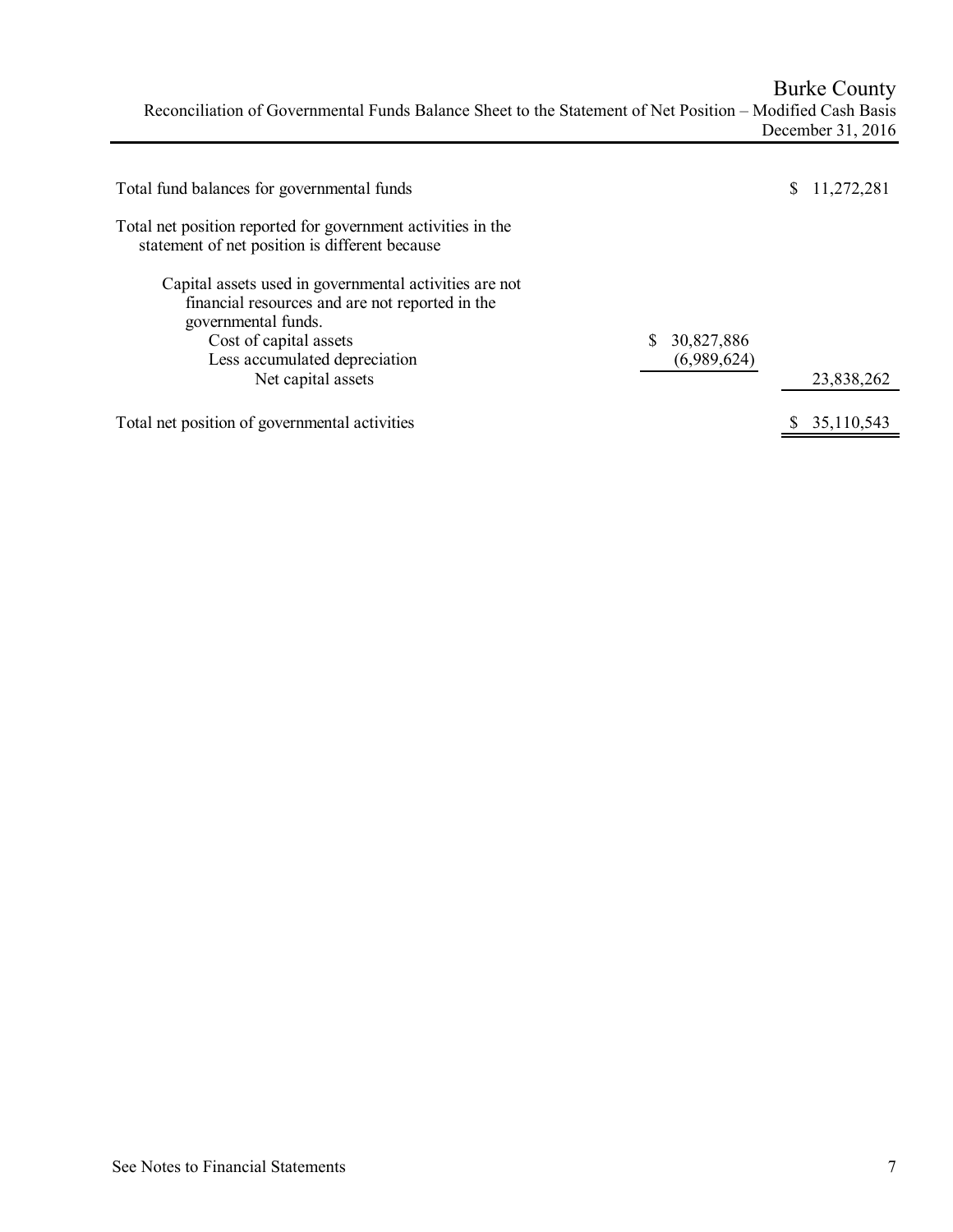Burke County

Reconciliation of Governmental Funds Balance Sheet to the Statement of Net Position – Modified Cash Basis December 31, 2016

| Total fund balances for governmental funds                                                                                                                                                                        |                           | 11,272,281<br>\$ |
|-------------------------------------------------------------------------------------------------------------------------------------------------------------------------------------------------------------------|---------------------------|------------------|
| Total net position reported for government activities in the<br>statement of net position is different because                                                                                                    |                           |                  |
| Capital assets used in governmental activities are not<br>financial resources and are not reported in the<br>governmental funds.<br>Cost of capital assets<br>Less accumulated depreciation<br>Net capital assets | 30,827,886<br>(6,989,624) | 23,838,262       |
| Total net position of governmental activities                                                                                                                                                                     |                           | 35,110,543       |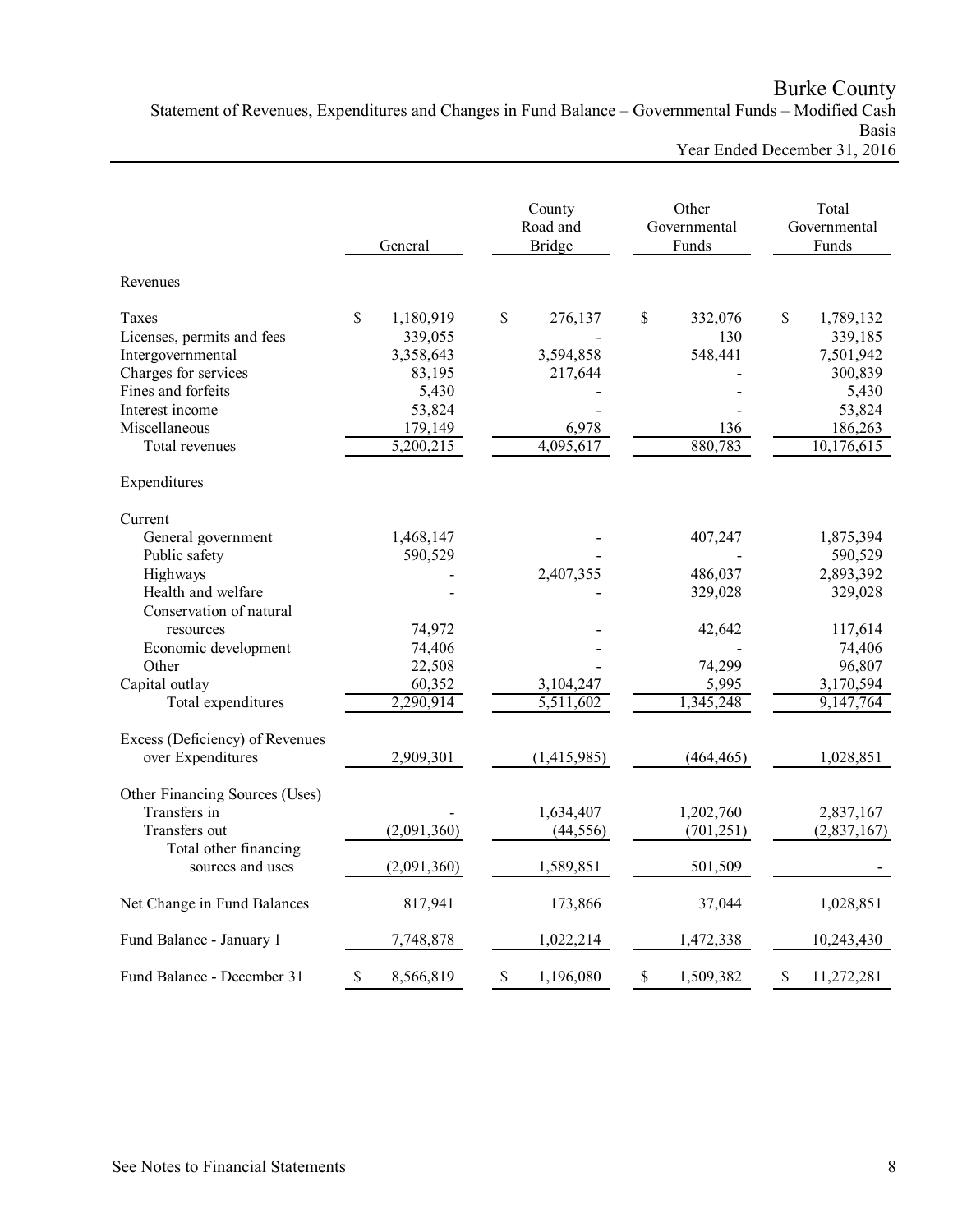Burke County Statement of Revenues, Expenditures and Changes in Fund Balance – Governmental Funds – Modified Cash

Basis

Year Ended December 31, 2016

|                                                                                                                                                              | General                                                                                      | County<br>Road and<br><b>Bridge</b>                         | Other<br>Governmental<br>Funds                    | Total<br>Governmental<br>Funds                                                                 |  |
|--------------------------------------------------------------------------------------------------------------------------------------------------------------|----------------------------------------------------------------------------------------------|-------------------------------------------------------------|---------------------------------------------------|------------------------------------------------------------------------------------------------|--|
| Revenues                                                                                                                                                     |                                                                                              |                                                             |                                                   |                                                                                                |  |
| Taxes<br>Licenses, permits and fees<br>Intergovernmental<br>Charges for services<br>Fines and forfeits<br>Interest income<br>Miscellaneous<br>Total revenues | \$<br>1,180,919<br>339,055<br>3,358,643<br>83,195<br>5,430<br>53,824<br>179,149<br>5,200,215 | \$<br>276,137<br>3,594,858<br>217,644<br>6,978<br>4,095,617 | \$<br>332,076<br>130<br>548,441<br>136<br>880,783 | \$<br>1,789,132<br>339,185<br>7,501,942<br>300,839<br>5,430<br>53,824<br>186,263<br>10,176,615 |  |
| Expenditures                                                                                                                                                 |                                                                                              |                                                             |                                                   |                                                                                                |  |
| Current<br>General government<br>Public safety<br>Highways<br>Health and welfare<br>Conservation of natural<br>resources<br>Economic development<br>Other    | 1,468,147<br>590,529<br>74,972<br>74,406<br>22,508                                           | 2,407,355                                                   | 407,247<br>486,037<br>329,028<br>42,642<br>74,299 | 1,875,394<br>590,529<br>2,893,392<br>329,028<br>117,614<br>74,406<br>96,807                    |  |
| Capital outlay                                                                                                                                               | 60,352                                                                                       | 3,104,247                                                   | 5,995                                             | 3,170,594                                                                                      |  |
| Total expenditures<br>Excess (Deficiency) of Revenues<br>over Expenditures                                                                                   | 2,290,914<br>2,909,301                                                                       | 5,511,602<br>(1,415,985)                                    | 1,345,248<br>(464, 465)                           | 9,147,764<br>1,028,851                                                                         |  |
| Other Financing Sources (Uses)<br>Transfers in<br>Transfers out<br>Total other financing<br>sources and uses                                                 | (2,091,360)<br>(2,091,360)                                                                   | 1,634,407<br>(44, 556)<br>1,589,851                         | 1,202,760<br>(701, 251)<br>501,509                | 2,837,167<br>(2,837,167)                                                                       |  |
| Net Change in Fund Balances                                                                                                                                  | 817,941                                                                                      | 173,866                                                     | 37,044                                            | 1,028,851                                                                                      |  |
| Fund Balance - January 1                                                                                                                                     | 7,748,878                                                                                    | 1,022,214                                                   | 1,472,338                                         | 10,243,430                                                                                     |  |
| Fund Balance - December 31                                                                                                                                   | \$<br>8,566,819                                                                              | 1,196,080<br>\$                                             | 1,509,382<br>S                                    | S<br>11,272,281                                                                                |  |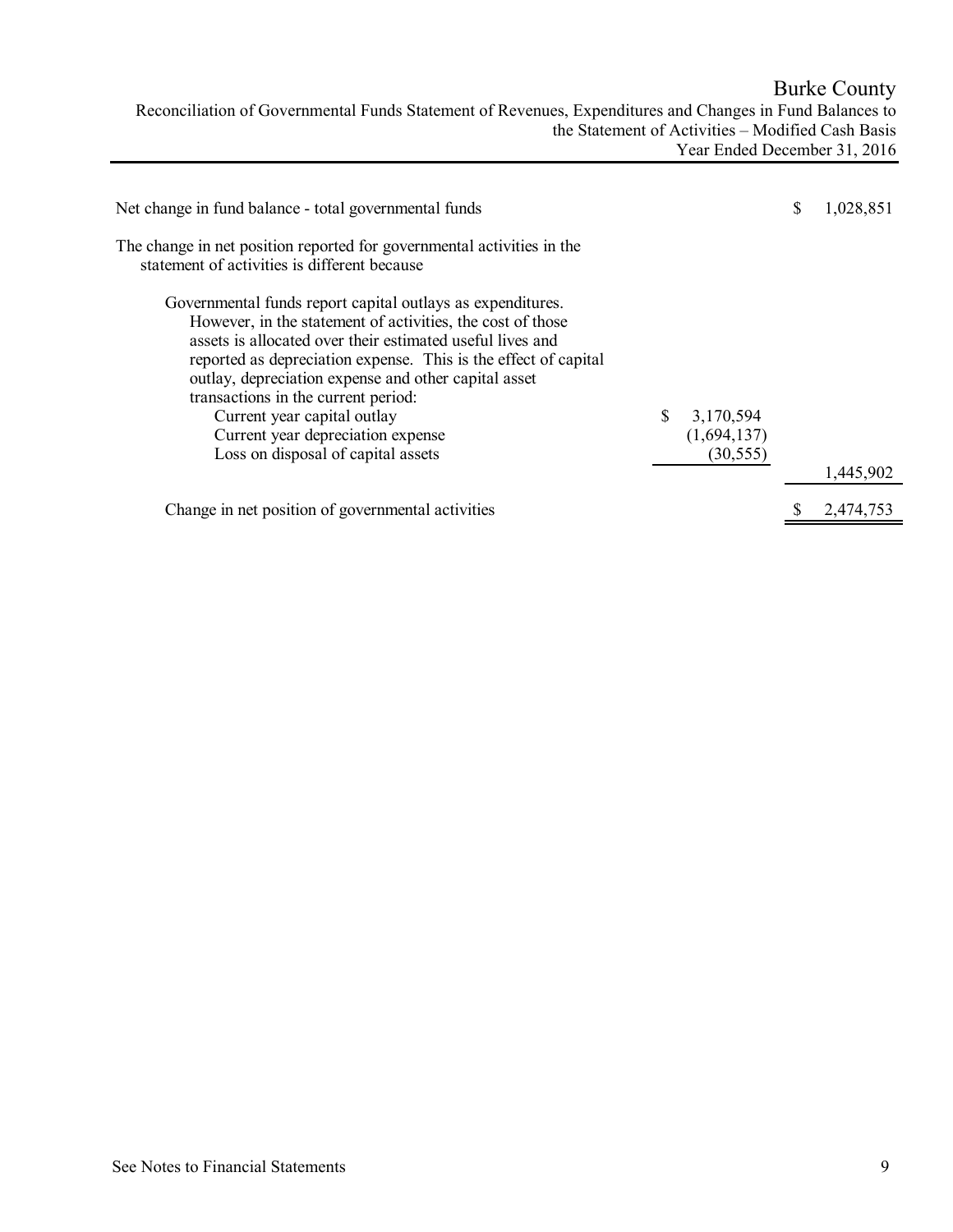Burke County Reconciliation of Governmental Funds Statement of Revenues, Expenditures and Changes in Fund Balances to the Statement of Activities – Modified Cash Basis Year Ended December 31, 2016

| Net change in fund balance - total governmental funds                                                                                                                                                                                                                                                                                                                                                                                                             |               |                                       | \$<br>1,028,851 |
|-------------------------------------------------------------------------------------------------------------------------------------------------------------------------------------------------------------------------------------------------------------------------------------------------------------------------------------------------------------------------------------------------------------------------------------------------------------------|---------------|---------------------------------------|-----------------|
| The change in net position reported for governmental activities in the<br>statement of activities is different because                                                                                                                                                                                                                                                                                                                                            |               |                                       |                 |
| Governmental funds report capital outlays as expenditures.<br>However, in the statement of activities, the cost of those<br>assets is allocated over their estimated useful lives and<br>reported as depreciation expense. This is the effect of capital<br>outlay, depreciation expense and other capital asset<br>transactions in the current period:<br>Current year capital outlay<br>Current year depreciation expense<br>Loss on disposal of capital assets | <sup>\$</sup> | 3,170,594<br>(1,694,137)<br>(30, 555) | 1,445,902       |
| Change in net position of governmental activities                                                                                                                                                                                                                                                                                                                                                                                                                 |               |                                       | 2,474,753       |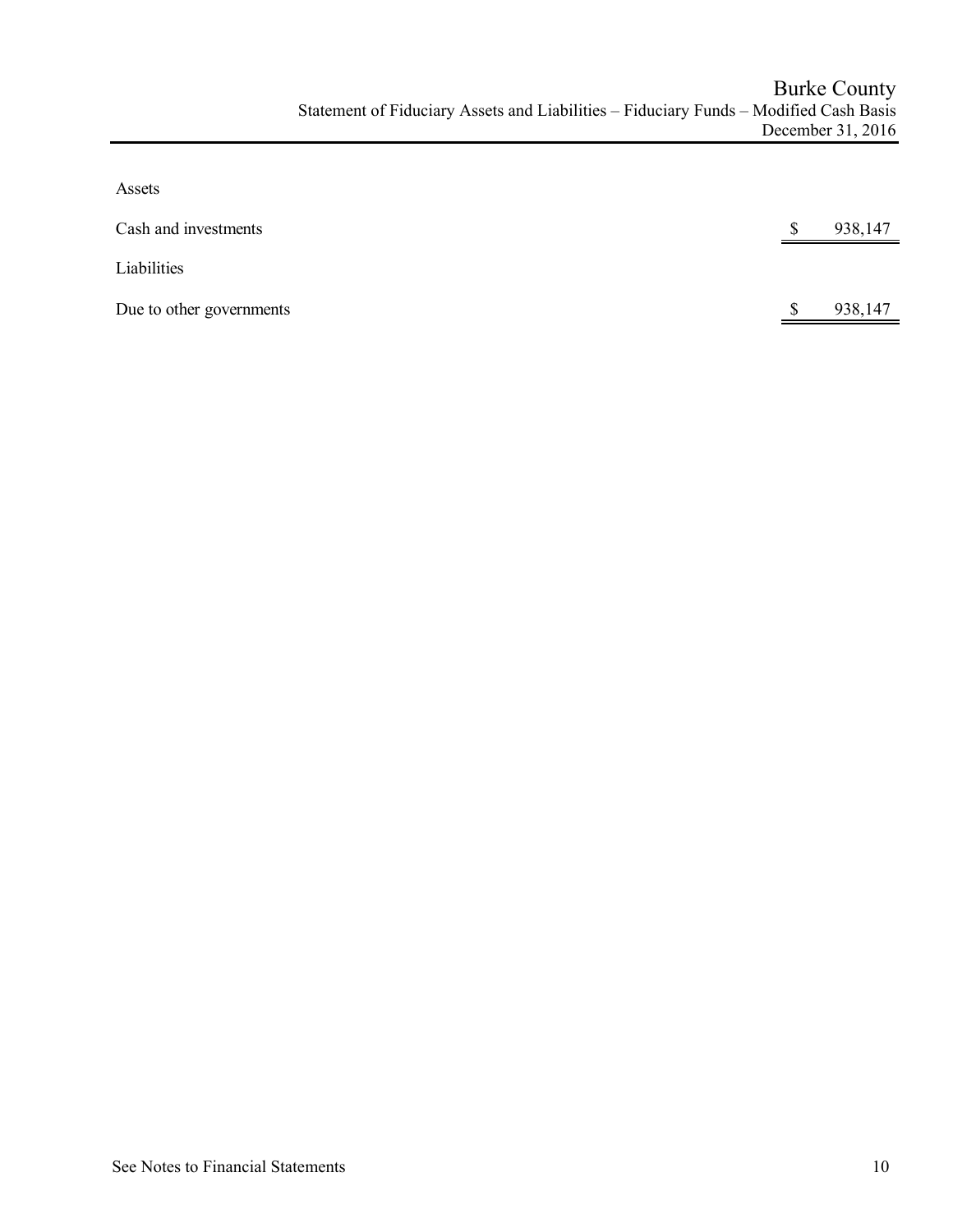| Assets                   |               |
|--------------------------|---------------|
| Cash and investments     | \$<br>938,147 |
| Liabilities              |               |
| Due to other governments | \$<br>938,147 |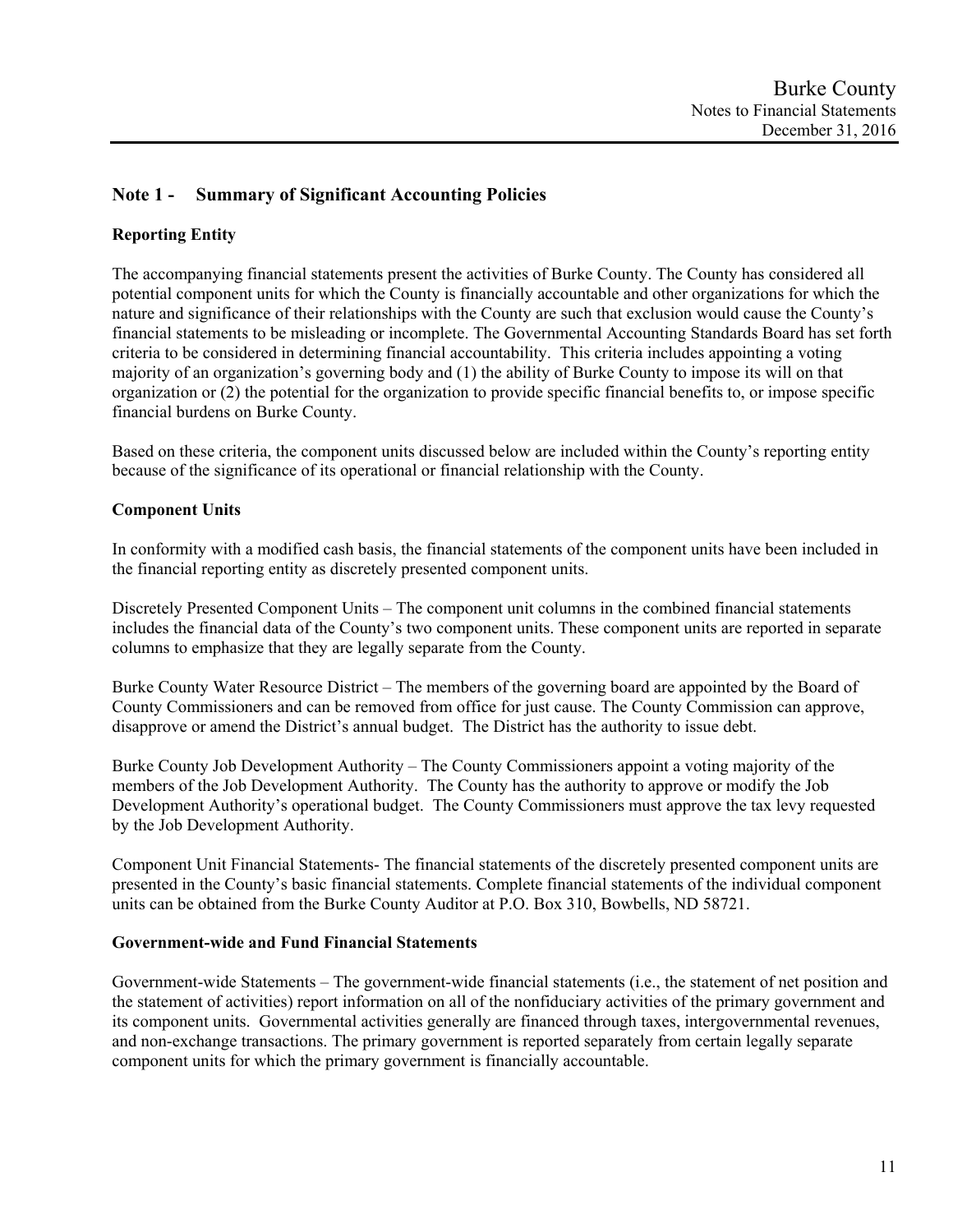# **Note 1 - Summary of Significant Accounting Policies**

# **Reporting Entity**

The accompanying financial statements present the activities of Burke County. The County has considered all potential component units for which the County is financially accountable and other organizations for which the nature and significance of their relationships with the County are such that exclusion would cause the County's financial statements to be misleading or incomplete. The Governmental Accounting Standards Board has set forth criteria to be considered in determining financial accountability. This criteria includes appointing a voting majority of an organization's governing body and (1) the ability of Burke County to impose its will on that organization or (2) the potential for the organization to provide specific financial benefits to, or impose specific financial burdens on Burke County.

Based on these criteria, the component units discussed below are included within the County's reporting entity because of the significance of its operational or financial relationship with the County.

# **Component Units**

In conformity with a modified cash basis, the financial statements of the component units have been included in the financial reporting entity as discretely presented component units.

Discretely Presented Component Units – The component unit columns in the combined financial statements includes the financial data of the County's two component units. These component units are reported in separate columns to emphasize that they are legally separate from the County.

Burke County Water Resource District – The members of the governing board are appointed by the Board of County Commissioners and can be removed from office for just cause. The County Commission can approve, disapprove or amend the District's annual budget. The District has the authority to issue debt.

Burke County Job Development Authority – The County Commissioners appoint a voting majority of the members of the Job Development Authority. The County has the authority to approve or modify the Job Development Authority's operational budget. The County Commissioners must approve the tax levy requested by the Job Development Authority.

Component Unit Financial Statements- The financial statements of the discretely presented component units are presented in the County's basic financial statements. Complete financial statements of the individual component units can be obtained from the Burke County Auditor at P.O. Box 310, Bowbells, ND 58721.

# **Government-wide and Fund Financial Statements**

Government-wide Statements – The government-wide financial statements (i.e., the statement of net position and the statement of activities) report information on all of the nonfiduciary activities of the primary government and its component units. Governmental activities generally are financed through taxes, intergovernmental revenues, and non-exchange transactions. The primary government is reported separately from certain legally separate component units for which the primary government is financially accountable.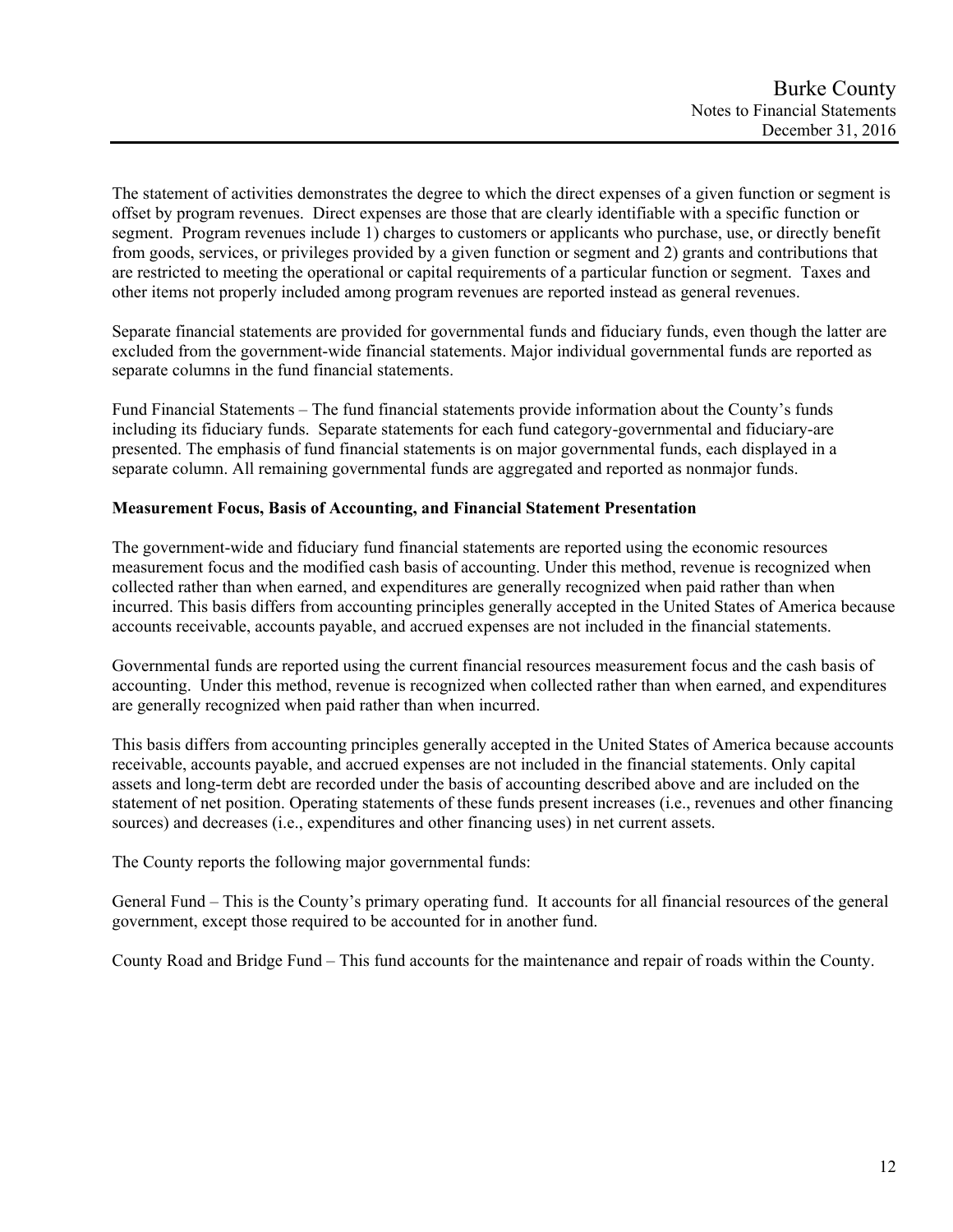The statement of activities demonstrates the degree to which the direct expenses of a given function or segment is offset by program revenues. Direct expenses are those that are clearly identifiable with a specific function or segment. Program revenues include 1) charges to customers or applicants who purchase, use, or directly benefit from goods, services, or privileges provided by a given function or segment and 2) grants and contributions that are restricted to meeting the operational or capital requirements of a particular function or segment. Taxes and other items not properly included among program revenues are reported instead as general revenues.

Separate financial statements are provided for governmental funds and fiduciary funds, even though the latter are excluded from the government-wide financial statements. Major individual governmental funds are reported as separate columns in the fund financial statements.

Fund Financial Statements – The fund financial statements provide information about the County's funds including its fiduciary funds. Separate statements for each fund category-governmental and fiduciary-are presented. The emphasis of fund financial statements is on major governmental funds, each displayed in a separate column. All remaining governmental funds are aggregated and reported as nonmajor funds.

# **Measurement Focus, Basis of Accounting, and Financial Statement Presentation**

The government-wide and fiduciary fund financial statements are reported using the economic resources measurement focus and the modified cash basis of accounting. Under this method, revenue is recognized when collected rather than when earned, and expenditures are generally recognized when paid rather than when incurred. This basis differs from accounting principles generally accepted in the United States of America because accounts receivable, accounts payable, and accrued expenses are not included in the financial statements.

Governmental funds are reported using the current financial resources measurement focus and the cash basis of accounting. Under this method, revenue is recognized when collected rather than when earned, and expenditures are generally recognized when paid rather than when incurred.

This basis differs from accounting principles generally accepted in the United States of America because accounts receivable, accounts payable, and accrued expenses are not included in the financial statements. Only capital assets and long-term debt are recorded under the basis of accounting described above and are included on the statement of net position. Operating statements of these funds present increases (i.e., revenues and other financing sources) and decreases (i.e., expenditures and other financing uses) in net current assets.

The County reports the following major governmental funds:

General Fund – This is the County's primary operating fund. It accounts for all financial resources of the general government, except those required to be accounted for in another fund.

County Road and Bridge Fund – This fund accounts for the maintenance and repair of roads within the County.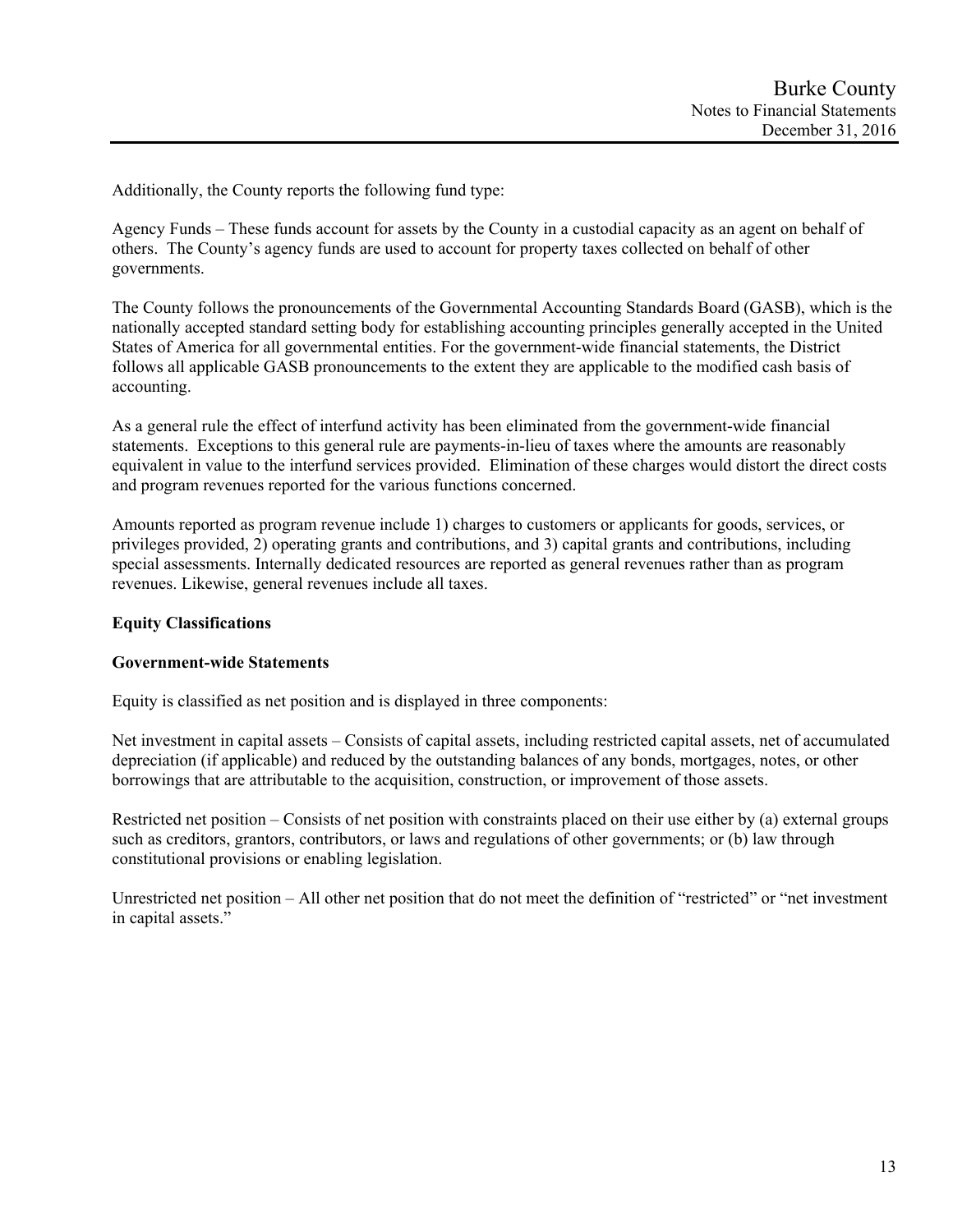Additionally, the County reports the following fund type:

Agency Funds – These funds account for assets by the County in a custodial capacity as an agent on behalf of others. The County's agency funds are used to account for property taxes collected on behalf of other governments.

The County follows the pronouncements of the Governmental Accounting Standards Board (GASB), which is the nationally accepted standard setting body for establishing accounting principles generally accepted in the United States of America for all governmental entities. For the government-wide financial statements, the District follows all applicable GASB pronouncements to the extent they are applicable to the modified cash basis of accounting.

As a general rule the effect of interfund activity has been eliminated from the government-wide financial statements. Exceptions to this general rule are payments-in-lieu of taxes where the amounts are reasonably equivalent in value to the interfund services provided. Elimination of these charges would distort the direct costs and program revenues reported for the various functions concerned.

Amounts reported as program revenue include 1) charges to customers or applicants for goods, services, or privileges provided, 2) operating grants and contributions, and 3) capital grants and contributions, including special assessments. Internally dedicated resources are reported as general revenues rather than as program revenues. Likewise, general revenues include all taxes.

# **Equity Classifications**

# **Government-wide Statements**

Equity is classified as net position and is displayed in three components:

Net investment in capital assets – Consists of capital assets, including restricted capital assets, net of accumulated depreciation (if applicable) and reduced by the outstanding balances of any bonds, mortgages, notes, or other borrowings that are attributable to the acquisition, construction, or improvement of those assets.

Restricted net position – Consists of net position with constraints placed on their use either by (a) external groups such as creditors, grantors, contributors, or laws and regulations of other governments; or (b) law through constitutional provisions or enabling legislation.

Unrestricted net position – All other net position that do not meet the definition of "restricted" or "net investment in capital assets."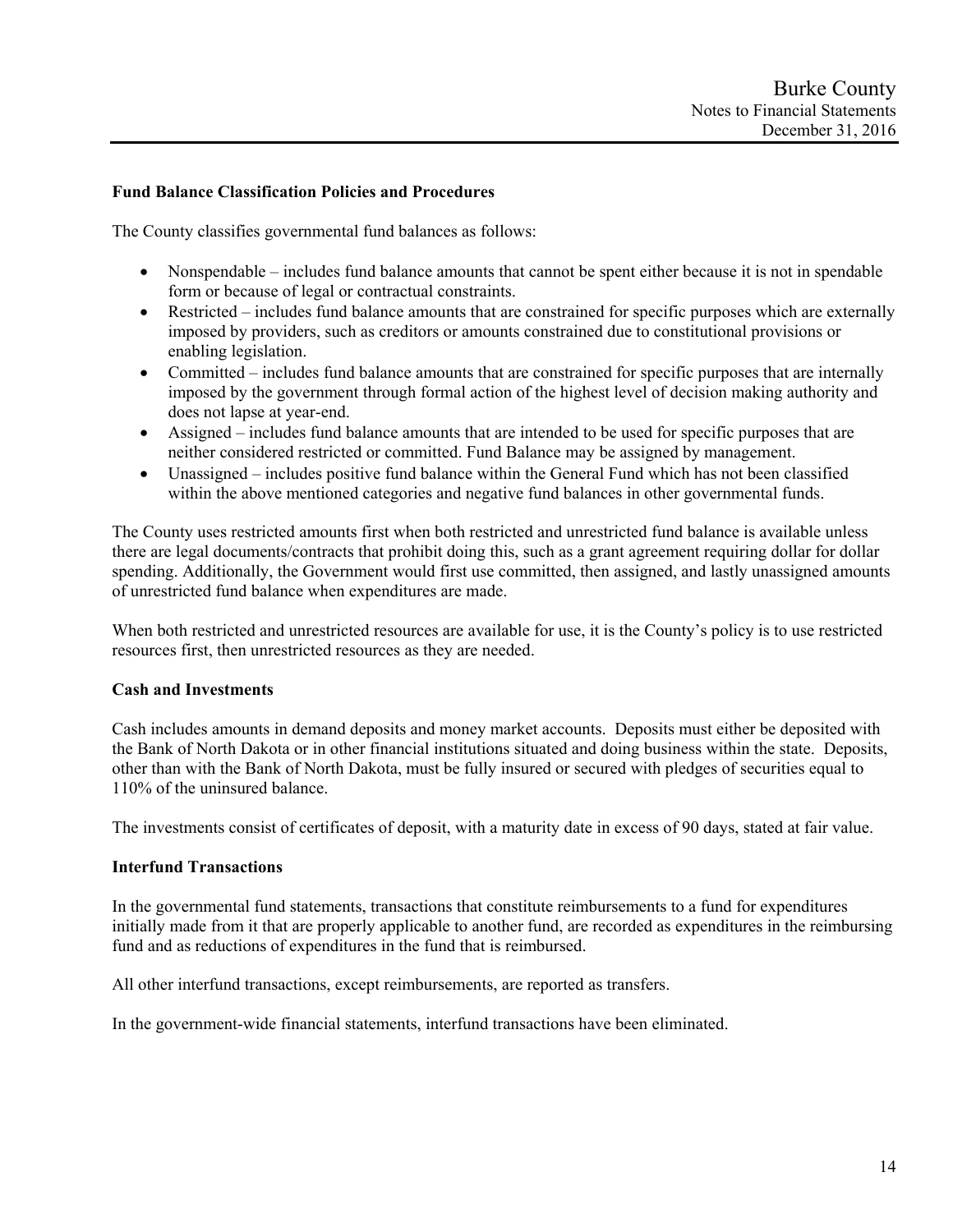# **Fund Balance Classification Policies and Procedures**

The County classifies governmental fund balances as follows:

- Nonspendable includes fund balance amounts that cannot be spent either because it is not in spendable form or because of legal or contractual constraints.
- Restricted includes fund balance amounts that are constrained for specific purposes which are externally imposed by providers, such as creditors or amounts constrained due to constitutional provisions or enabling legislation.
- Committed includes fund balance amounts that are constrained for specific purposes that are internally imposed by the government through formal action of the highest level of decision making authority and does not lapse at year-end.
- Assigned includes fund balance amounts that are intended to be used for specific purposes that are neither considered restricted or committed. Fund Balance may be assigned by management.
- Unassigned includes positive fund balance within the General Fund which has not been classified within the above mentioned categories and negative fund balances in other governmental funds.

The County uses restricted amounts first when both restricted and unrestricted fund balance is available unless there are legal documents/contracts that prohibit doing this, such as a grant agreement requiring dollar for dollar spending. Additionally, the Government would first use committed, then assigned, and lastly unassigned amounts of unrestricted fund balance when expenditures are made.

When both restricted and unrestricted resources are available for use, it is the County's policy is to use restricted resources first, then unrestricted resources as they are needed.

# **Cash and Investments**

Cash includes amounts in demand deposits and money market accounts. Deposits must either be deposited with the Bank of North Dakota or in other financial institutions situated and doing business within the state. Deposits, other than with the Bank of North Dakota, must be fully insured or secured with pledges of securities equal to 110% of the uninsured balance.

The investments consist of certificates of deposit, with a maturity date in excess of 90 days, stated at fair value.

# **Interfund Transactions**

In the governmental fund statements, transactions that constitute reimbursements to a fund for expenditures initially made from it that are properly applicable to another fund, are recorded as expenditures in the reimbursing fund and as reductions of expenditures in the fund that is reimbursed.

All other interfund transactions, except reimbursements, are reported as transfers.

In the government-wide financial statements, interfund transactions have been eliminated.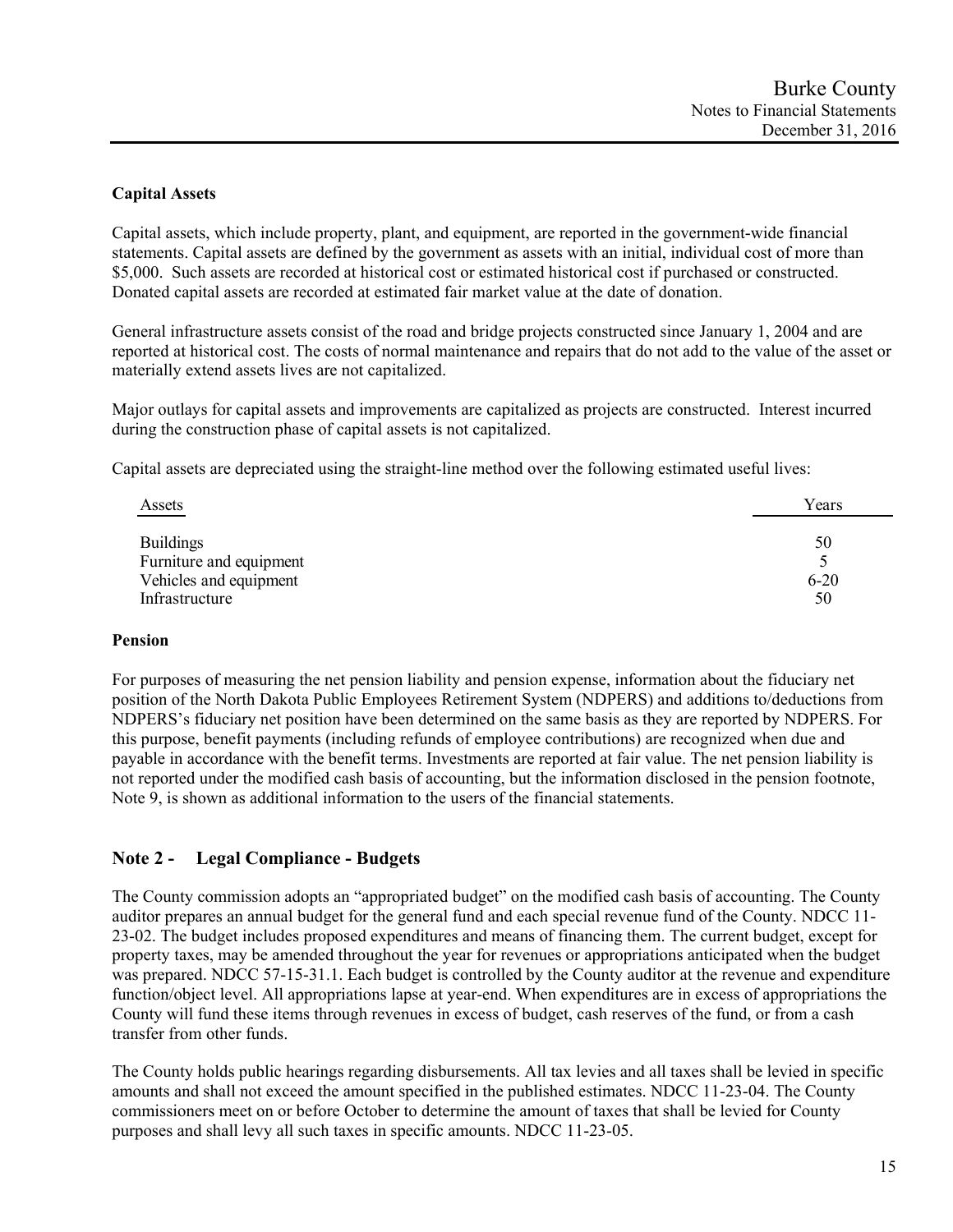# **Capital Assets**

Capital assets, which include property, plant, and equipment, are reported in the government-wide financial statements. Capital assets are defined by the government as assets with an initial, individual cost of more than \$5,000. Such assets are recorded at historical cost or estimated historical cost if purchased or constructed. Donated capital assets are recorded at estimated fair market value at the date of donation.

General infrastructure assets consist of the road and bridge projects constructed since January 1, 2004 and are reported at historical cost. The costs of normal maintenance and repairs that do not add to the value of the asset or materially extend assets lives are not capitalized.

Major outlays for capital assets and improvements are capitalized as projects are constructed. Interest incurred during the construction phase of capital assets is not capitalized.

Capital assets are depreciated using the straight-line method over the following estimated useful lives:

| <b>Assets</b>           | Years    |
|-------------------------|----------|
| <b>Buildings</b>        | 50       |
| Furniture and equipment |          |
| Vehicles and equipment  | $6 - 20$ |
| Infrastructure          | 50       |

# **Pension**

For purposes of measuring the net pension liability and pension expense, information about the fiduciary net position of the North Dakota Public Employees Retirement System (NDPERS) and additions to/deductions from NDPERS's fiduciary net position have been determined on the same basis as they are reported by NDPERS. For this purpose, benefit payments (including refunds of employee contributions) are recognized when due and payable in accordance with the benefit terms. Investments are reported at fair value. The net pension liability is not reported under the modified cash basis of accounting, but the information disclosed in the pension footnote, Note 9, is shown as additional information to the users of the financial statements.

# **Note 2 - Legal Compliance - Budgets**

The County commission adopts an "appropriated budget" on the modified cash basis of accounting. The County auditor prepares an annual budget for the general fund and each special revenue fund of the County. NDCC 11- 23-02. The budget includes proposed expenditures and means of financing them. The current budget, except for property taxes, may be amended throughout the year for revenues or appropriations anticipated when the budget was prepared. NDCC 57-15-31.1. Each budget is controlled by the County auditor at the revenue and expenditure function/object level. All appropriations lapse at year-end. When expenditures are in excess of appropriations the County will fund these items through revenues in excess of budget, cash reserves of the fund, or from a cash transfer from other funds.

The County holds public hearings regarding disbursements. All tax levies and all taxes shall be levied in specific amounts and shall not exceed the amount specified in the published estimates. NDCC 11-23-04. The County commissioners meet on or before October to determine the amount of taxes that shall be levied for County purposes and shall levy all such taxes in specific amounts. NDCC 11-23-05.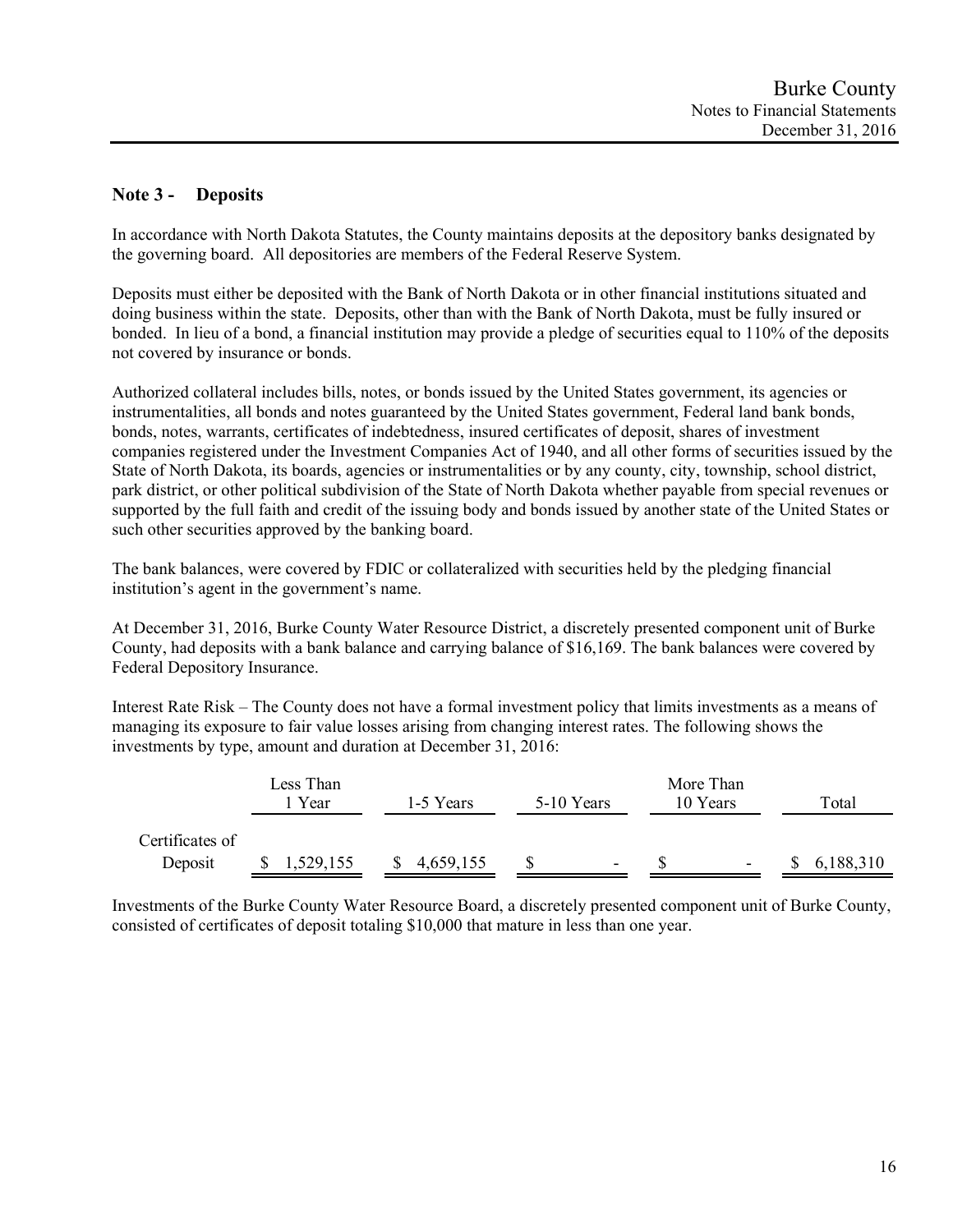# **Note 3 - Deposits**

In accordance with North Dakota Statutes, the County maintains deposits at the depository banks designated by the governing board. All depositories are members of the Federal Reserve System.

Deposits must either be deposited with the Bank of North Dakota or in other financial institutions situated and doing business within the state. Deposits, other than with the Bank of North Dakota, must be fully insured or bonded. In lieu of a bond, a financial institution may provide a pledge of securities equal to 110% of the deposits not covered by insurance or bonds.

Authorized collateral includes bills, notes, or bonds issued by the United States government, its agencies or instrumentalities, all bonds and notes guaranteed by the United States government, Federal land bank bonds, bonds, notes, warrants, certificates of indebtedness, insured certificates of deposit, shares of investment companies registered under the Investment Companies Act of 1940, and all other forms of securities issued by the State of North Dakota, its boards, agencies or instrumentalities or by any county, city, township, school district, park district, or other political subdivision of the State of North Dakota whether payable from special revenues or supported by the full faith and credit of the issuing body and bonds issued by another state of the United States or such other securities approved by the banking board.

The bank balances, were covered by FDIC or collateralized with securities held by the pledging financial institution's agent in the government's name.

At December 31, 2016, Burke County Water Resource District, a discretely presented component unit of Burke County, had deposits with a bank balance and carrying balance of \$16,169. The bank balances were covered by Federal Depository Insurance.

Interest Rate Risk – The County does not have a formal investment policy that limits investments as a means of managing its exposure to fair value losses arising from changing interest rates. The following shows the investments by type, amount and duration at December 31, 2016:

|                            | Less Than<br>1 Year |    | 1-5 Years |  | 5-10 Years |                          | More Than<br>10 Years |                          | Total     |
|----------------------------|---------------------|----|-----------|--|------------|--------------------------|-----------------------|--------------------------|-----------|
| Certificates of<br>Deposit | 1,529,155           | S. | 4,659,155 |  |            | $\overline{\phantom{0}}$ |                       | $\overline{\phantom{a}}$ | 6,188,310 |

Investments of the Burke County Water Resource Board, a discretely presented component unit of Burke County, consisted of certificates of deposit totaling \$10,000 that mature in less than one year.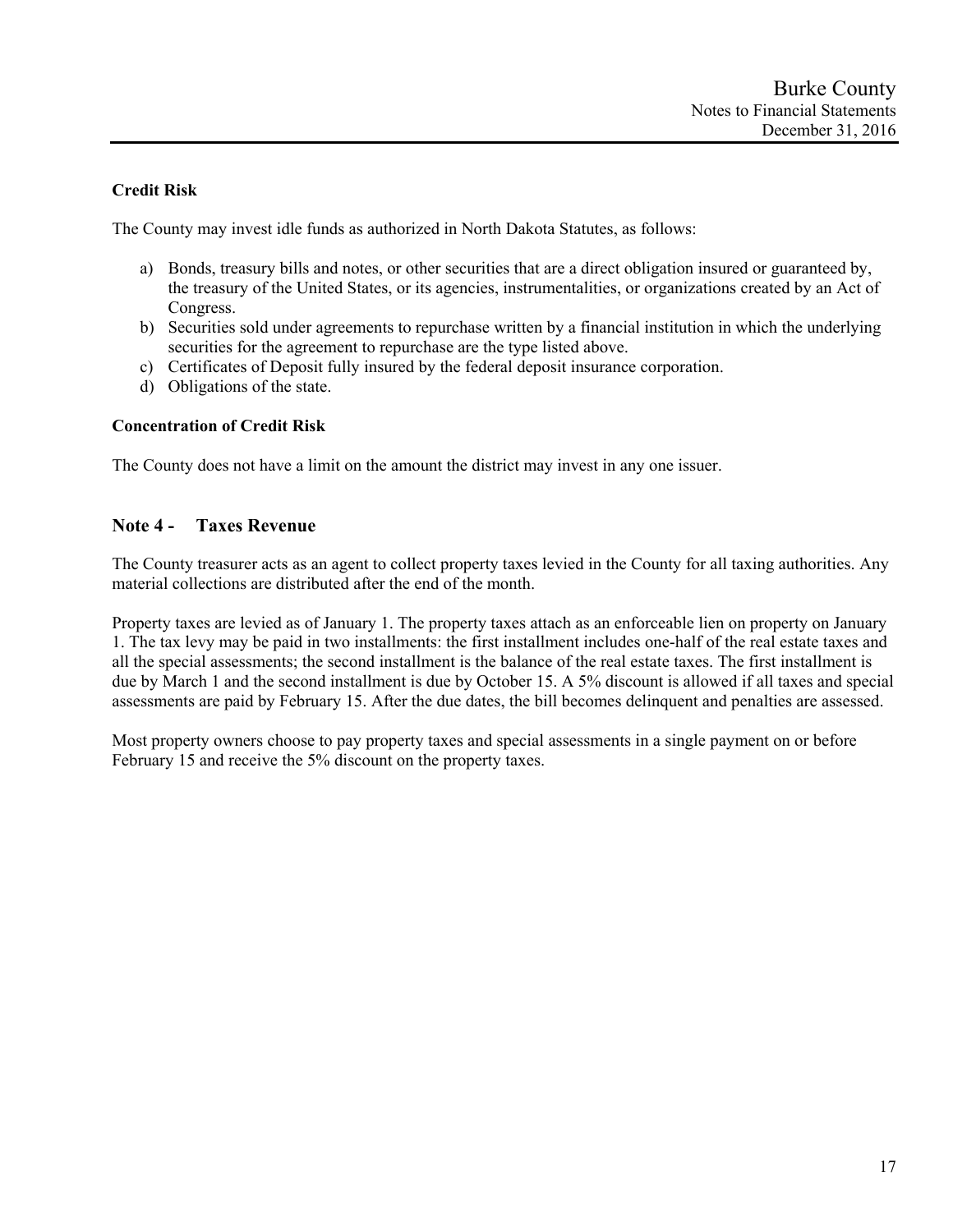# **Credit Risk**

The County may invest idle funds as authorized in North Dakota Statutes, as follows:

- a) Bonds, treasury bills and notes, or other securities that are a direct obligation insured or guaranteed by, the treasury of the United States, or its agencies, instrumentalities, or organizations created by an Act of Congress.
- b) Securities sold under agreements to repurchase written by a financial institution in which the underlying securities for the agreement to repurchase are the type listed above.
- c) Certificates of Deposit fully insured by the federal deposit insurance corporation.
- d) Obligations of the state.

#### **Concentration of Credit Risk**

The County does not have a limit on the amount the district may invest in any one issuer.

# **Note 4 - Taxes Revenue**

The County treasurer acts as an agent to collect property taxes levied in the County for all taxing authorities. Any material collections are distributed after the end of the month.

Property taxes are levied as of January 1. The property taxes attach as an enforceable lien on property on January 1. The tax levy may be paid in two installments: the first installment includes one-half of the real estate taxes and all the special assessments; the second installment is the balance of the real estate taxes. The first installment is due by March 1 and the second installment is due by October 15. A 5% discount is allowed if all taxes and special assessments are paid by February 15. After the due dates, the bill becomes delinquent and penalties are assessed.

Most property owners choose to pay property taxes and special assessments in a single payment on or before February 15 and receive the 5% discount on the property taxes.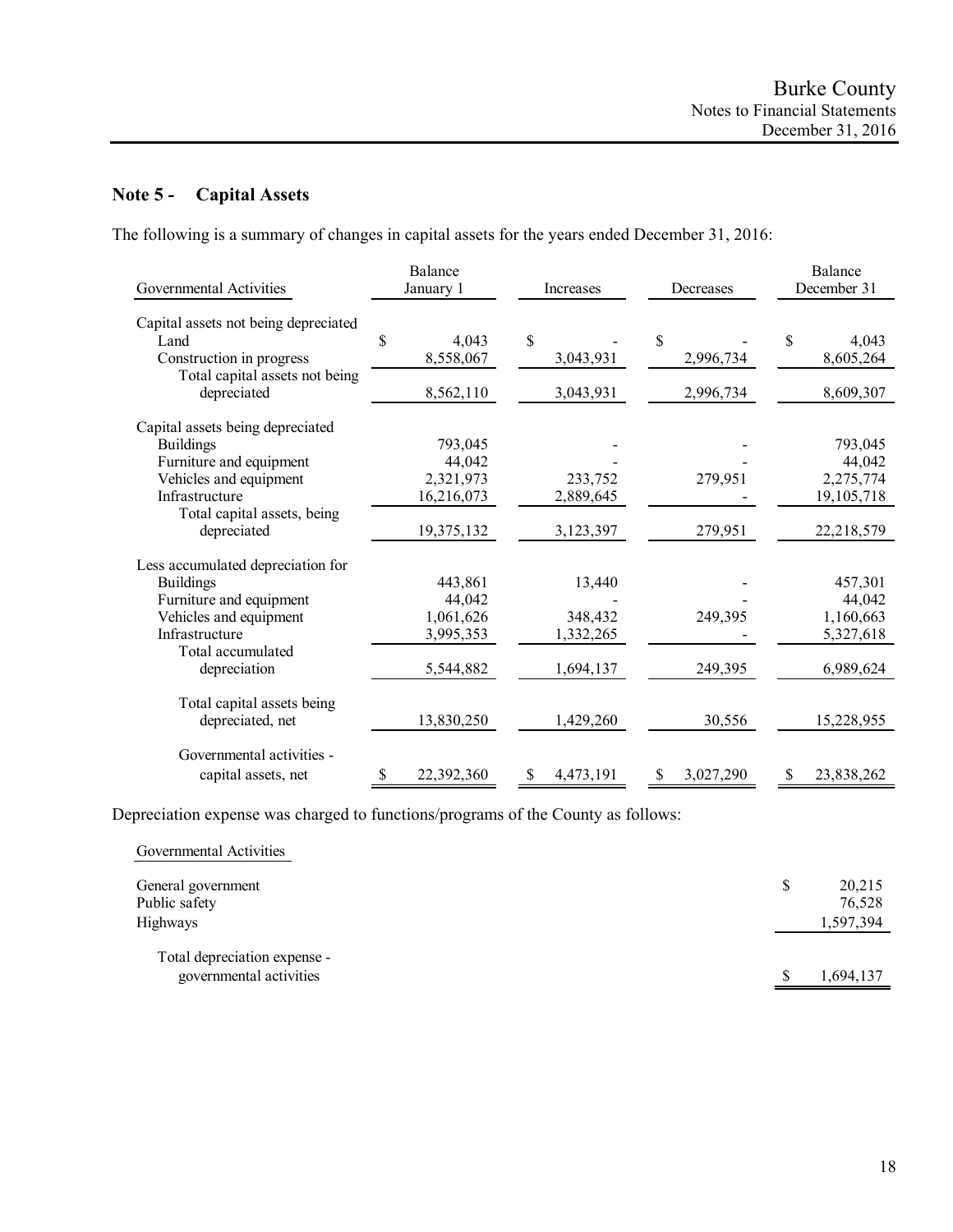# **Note 5 - Capital Assets**

The following is a summary of changes in capital assets for the years ended December 31, 2016:

| Governmental Activities                       | Balance<br>January 1 | Increases       | Decreases | Balance<br>December 31 |  |
|-----------------------------------------------|----------------------|-----------------|-----------|------------------------|--|
| Capital assets not being depreciated          |                      |                 |           |                        |  |
| Land                                          | \$<br>4,043          | \$              | \$        | \$<br>4,043            |  |
| Construction in progress                      | 8,558,067            | 3,043,931       | 2,996,734 | 8,605,264              |  |
| Total capital assets not being<br>depreciated | 8,562,110            | 3,043,931       | 2,996,734 | 8,609,307              |  |
| Capital assets being depreciated              |                      |                 |           |                        |  |
| <b>Buildings</b>                              | 793,045              |                 |           | 793,045                |  |
| Furniture and equipment                       | 44,042               |                 |           | 44,042                 |  |
| Vehicles and equipment                        | 2,321,973            | 233,752         | 279,951   | 2,275,774              |  |
| Infrastructure                                | 16,216,073           | 2,889,645       |           | 19,105,718             |  |
| Total capital assets, being                   |                      |                 |           |                        |  |
| depreciated                                   | 19,375,132           | 3,123,397       | 279,951   | 22,218,579             |  |
| Less accumulated depreciation for             |                      |                 |           |                        |  |
| <b>Buildings</b>                              | 443,861              | 13,440          |           | 457,301                |  |
| Furniture and equipment                       | 44,042               |                 |           | 44,042                 |  |
| Vehicles and equipment                        | 1,061,626            | 348,432         | 249,395   | 1,160,663              |  |
| Infrastructure                                | 3,995,353            | 1,332,265       |           | 5,327,618              |  |
| Total accumulated                             |                      |                 |           |                        |  |
| depreciation                                  | 5,544,882            | 1,694,137       | 249,395   | 6,989,624              |  |
| Total capital assets being                    |                      |                 |           |                        |  |
| depreciated, net                              | 13,830,250           | 1,429,260       | 30,556    | 15,228,955             |  |
| Governmental activities -                     |                      |                 |           |                        |  |
| capital assets, net                           | 22,392,360<br>S      | 4,473,191<br>\$ | 3,027,290 | 23,838,262<br>S        |  |

Depreciation expense was charged to functions/programs of the County as follows:

| Governmental Activities                                 |                                     |
|---------------------------------------------------------|-------------------------------------|
| General government<br>Public safety<br>Highways         | \$<br>20,215<br>76,528<br>1,597,394 |
| Total depreciation expense -<br>governmental activities | 1,694,137                           |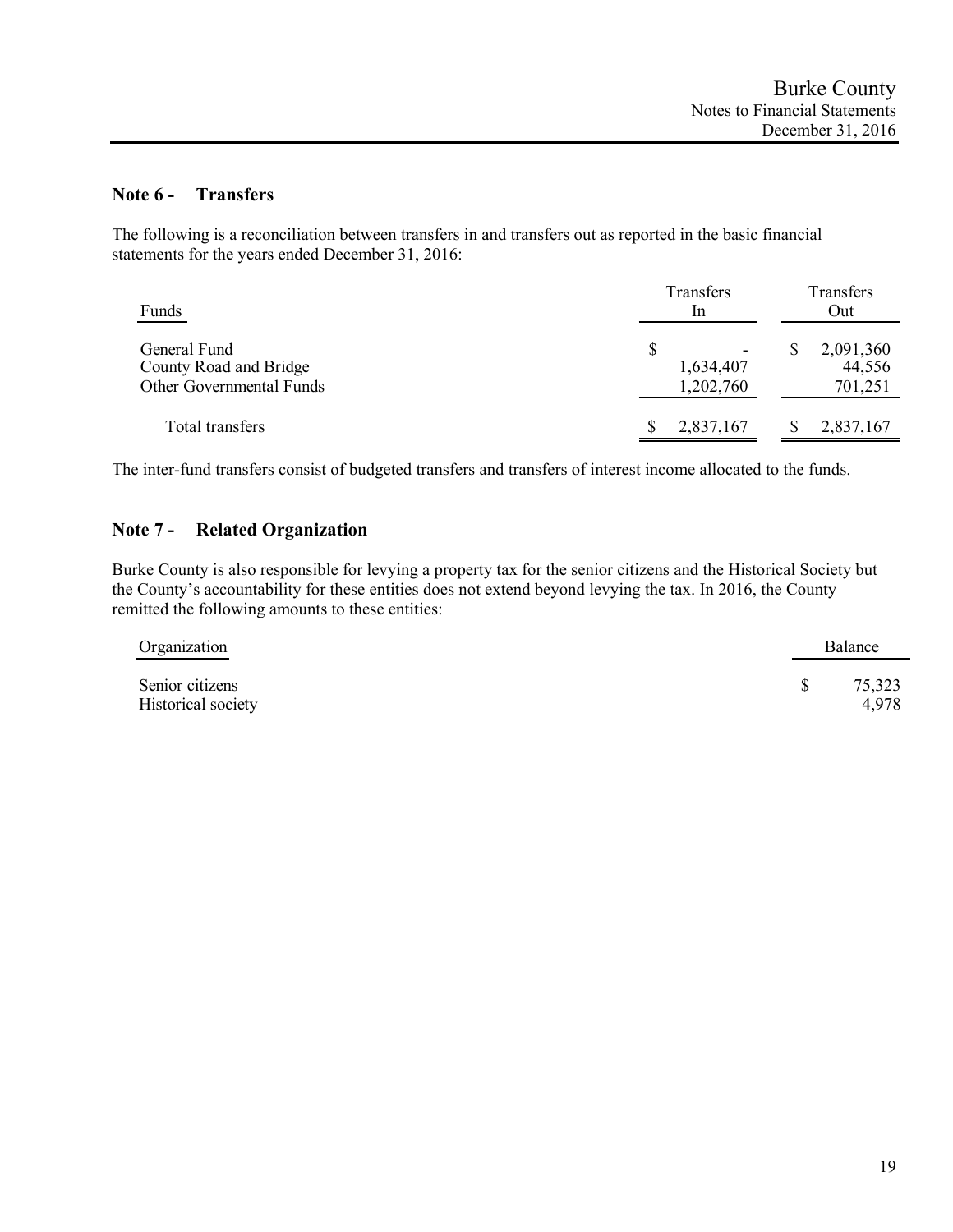# **Note 6 - Transfers**

The following is a reconciliation between transfers in and transfers out as reported in the basic financial statements for the years ended December 31, 2016:

| Funds                                                              | Transfers<br>In              | Transfers<br>Out                     |
|--------------------------------------------------------------------|------------------------------|--------------------------------------|
| General Fund<br>County Road and Bridge<br>Other Governmental Funds | \$<br>1,634,407<br>1,202,760 | 2,091,360<br>У.<br>44,556<br>701,251 |
| Total transfers                                                    | 2,837,167                    | 2,837,167                            |

The inter-fund transfers consist of budgeted transfers and transfers of interest income allocated to the funds.

# **Note 7 - Related Organization**

Burke County is also responsible for levying a property tax for the senior citizens and the Historical Society but the County's accountability for these entities does not extend beyond levying the tax. In 2016, the County remitted the following amounts to these entities:

| Organization                          | Balance         |
|---------------------------------------|-----------------|
| Senior citizens<br>Historical society | 75,323<br>4,978 |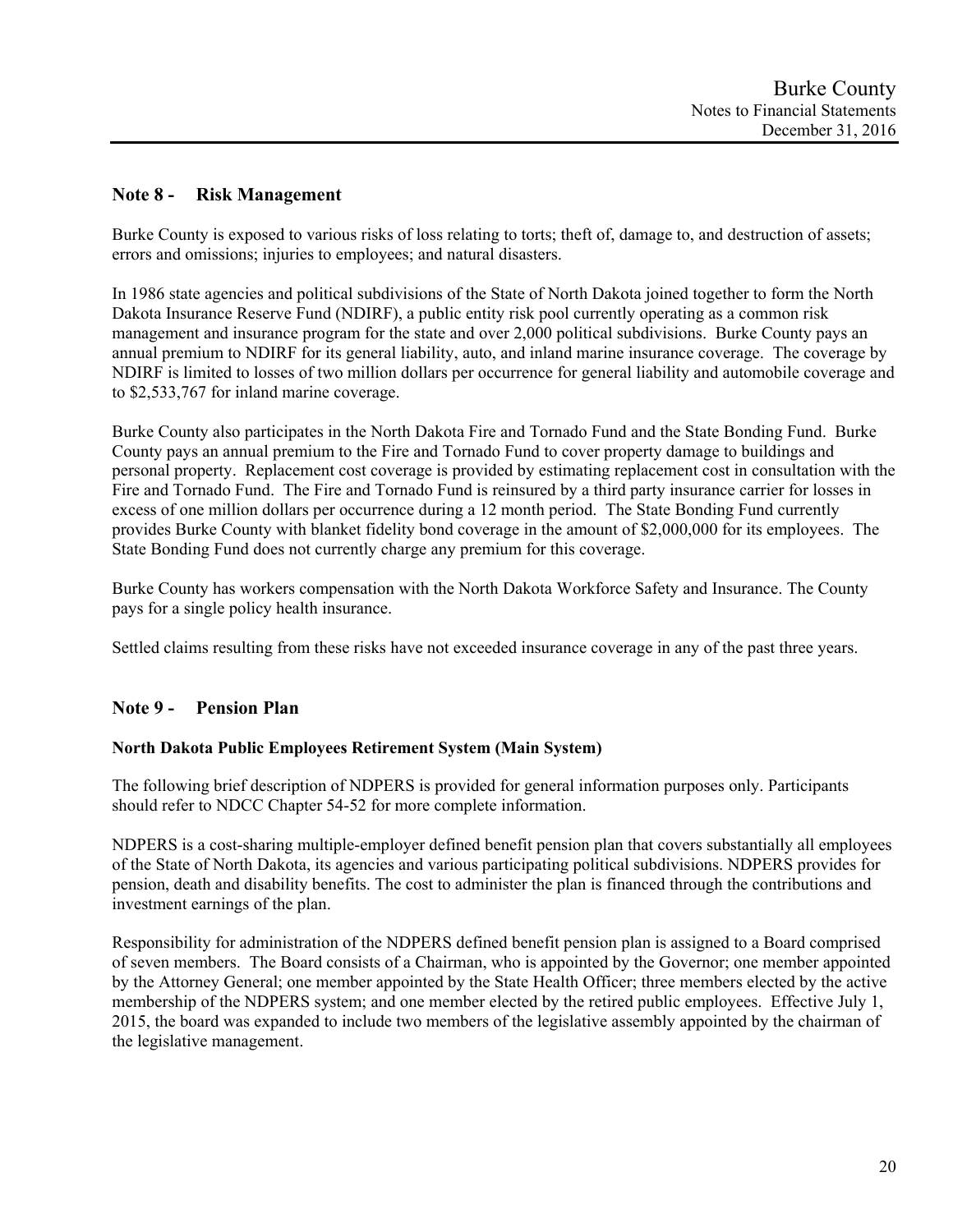# **Note 8 - Risk Management**

Burke County is exposed to various risks of loss relating to torts; theft of, damage to, and destruction of assets; errors and omissions; injuries to employees; and natural disasters.

In 1986 state agencies and political subdivisions of the State of North Dakota joined together to form the North Dakota Insurance Reserve Fund (NDIRF), a public entity risk pool currently operating as a common risk management and insurance program for the state and over 2,000 political subdivisions. Burke County pays an annual premium to NDIRF for its general liability, auto, and inland marine insurance coverage. The coverage by NDIRF is limited to losses of two million dollars per occurrence for general liability and automobile coverage and to \$2,533,767 for inland marine coverage.

Burke County also participates in the North Dakota Fire and Tornado Fund and the State Bonding Fund. Burke County pays an annual premium to the Fire and Tornado Fund to cover property damage to buildings and personal property. Replacement cost coverage is provided by estimating replacement cost in consultation with the Fire and Tornado Fund. The Fire and Tornado Fund is reinsured by a third party insurance carrier for losses in excess of one million dollars per occurrence during a 12 month period. The State Bonding Fund currently provides Burke County with blanket fidelity bond coverage in the amount of \$2,000,000 for its employees. The State Bonding Fund does not currently charge any premium for this coverage.

Burke County has workers compensation with the North Dakota Workforce Safety and Insurance. The County pays for a single policy health insurance.

Settled claims resulting from these risks have not exceeded insurance coverage in any of the past three years.

# **Note 9 - Pension Plan**

# **North Dakota Public Employees Retirement System (Main System)**

The following brief description of NDPERS is provided for general information purposes only. Participants should refer to NDCC Chapter 54-52 for more complete information.

NDPERS is a cost-sharing multiple-employer defined benefit pension plan that covers substantially all employees of the State of North Dakota, its agencies and various participating political subdivisions. NDPERS provides for pension, death and disability benefits. The cost to administer the plan is financed through the contributions and investment earnings of the plan.

Responsibility for administration of the NDPERS defined benefit pension plan is assigned to a Board comprised of seven members. The Board consists of a Chairman, who is appointed by the Governor; one member appointed by the Attorney General; one member appointed by the State Health Officer; three members elected by the active membership of the NDPERS system; and one member elected by the retired public employees. Effective July 1, 2015, the board was expanded to include two members of the legislative assembly appointed by the chairman of the legislative management.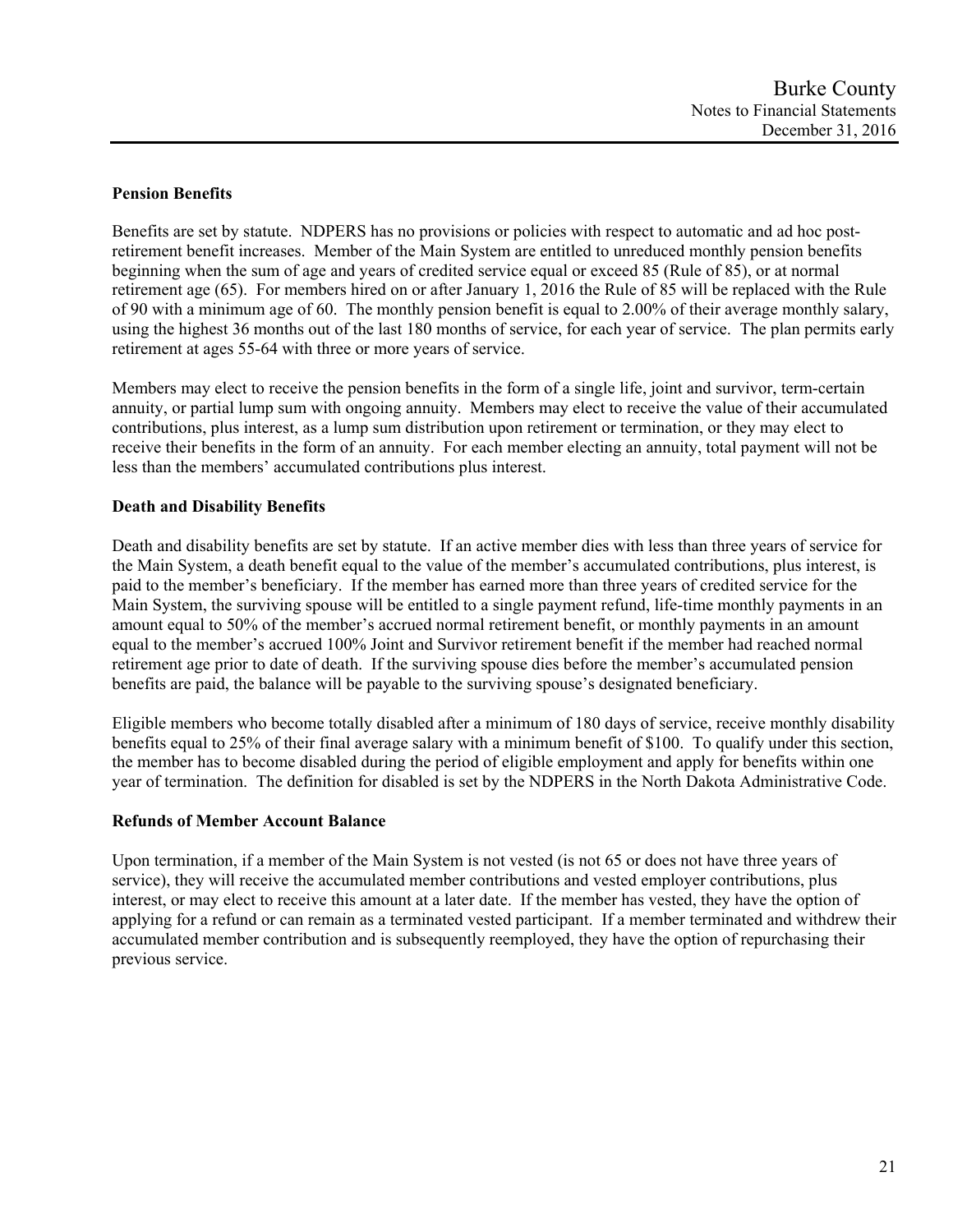# **Pension Benefits**

Benefits are set by statute. NDPERS has no provisions or policies with respect to automatic and ad hoc postretirement benefit increases. Member of the Main System are entitled to unreduced monthly pension benefits beginning when the sum of age and years of credited service equal or exceed 85 (Rule of 85), or at normal retirement age (65). For members hired on or after January 1, 2016 the Rule of 85 will be replaced with the Rule of 90 with a minimum age of 60. The monthly pension benefit is equal to 2.00% of their average monthly salary, using the highest 36 months out of the last 180 months of service, for each year of service. The plan permits early retirement at ages 55-64 with three or more years of service.

Members may elect to receive the pension benefits in the form of a single life, joint and survivor, term-certain annuity, or partial lump sum with ongoing annuity. Members may elect to receive the value of their accumulated contributions, plus interest, as a lump sum distribution upon retirement or termination, or they may elect to receive their benefits in the form of an annuity. For each member electing an annuity, total payment will not be less than the members' accumulated contributions plus interest.

# **Death and Disability Benefits**

Death and disability benefits are set by statute. If an active member dies with less than three years of service for the Main System, a death benefit equal to the value of the member's accumulated contributions, plus interest, is paid to the member's beneficiary. If the member has earned more than three years of credited service for the Main System, the surviving spouse will be entitled to a single payment refund, life-time monthly payments in an amount equal to 50% of the member's accrued normal retirement benefit, or monthly payments in an amount equal to the member's accrued 100% Joint and Survivor retirement benefit if the member had reached normal retirement age prior to date of death. If the surviving spouse dies before the member's accumulated pension benefits are paid, the balance will be payable to the surviving spouse's designated beneficiary.

Eligible members who become totally disabled after a minimum of 180 days of service, receive monthly disability benefits equal to 25% of their final average salary with a minimum benefit of \$100. To qualify under this section, the member has to become disabled during the period of eligible employment and apply for benefits within one year of termination. The definition for disabled is set by the NDPERS in the North Dakota Administrative Code.

# **Refunds of Member Account Balance**

Upon termination, if a member of the Main System is not vested (is not 65 or does not have three years of service), they will receive the accumulated member contributions and vested employer contributions, plus interest, or may elect to receive this amount at a later date. If the member has vested, they have the option of applying for a refund or can remain as a terminated vested participant. If a member terminated and withdrew their accumulated member contribution and is subsequently reemployed, they have the option of repurchasing their previous service.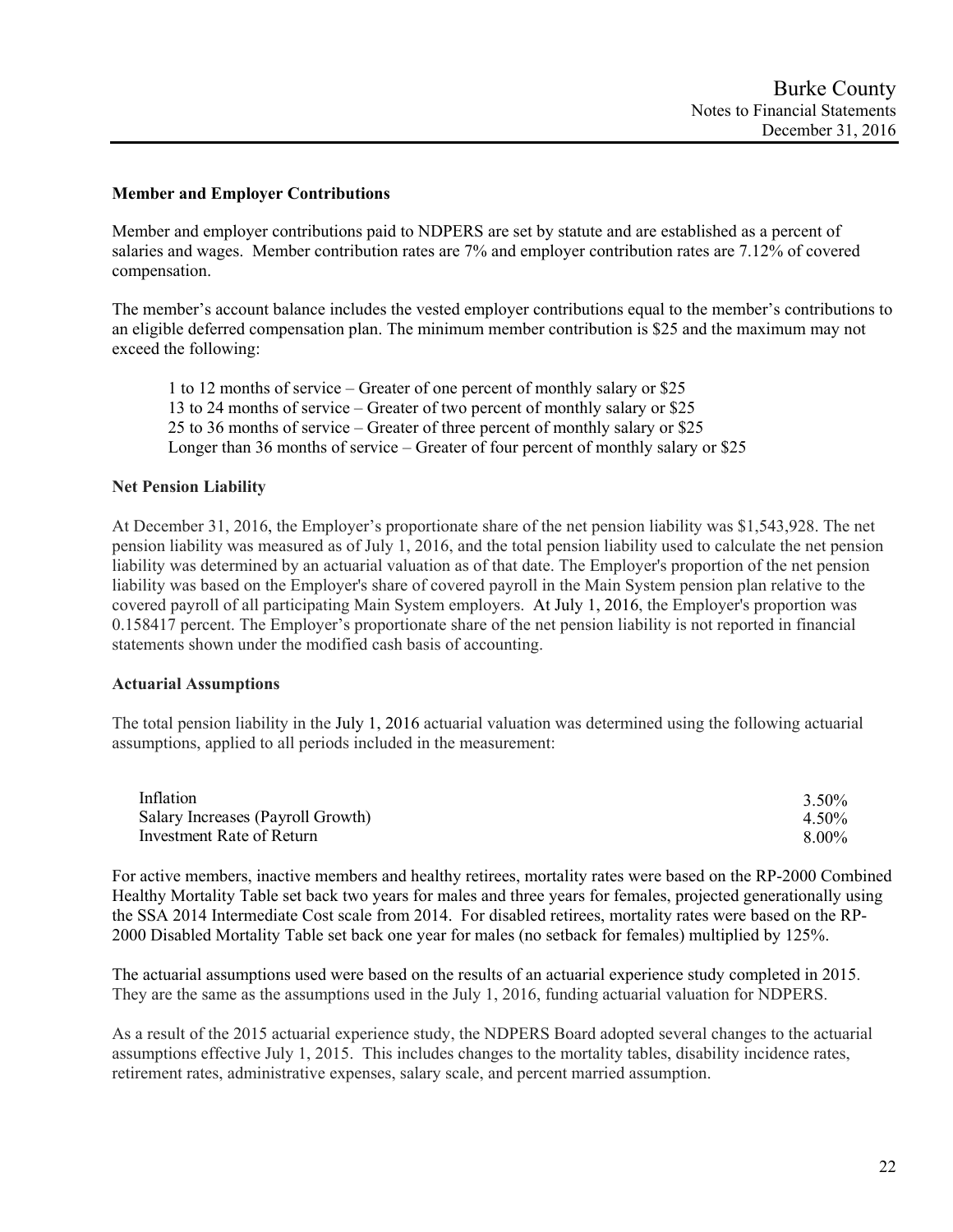#### **Member and Employer Contributions**

Member and employer contributions paid to NDPERS are set by statute and are established as a percent of salaries and wages. Member contribution rates are 7% and employer contribution rates are 7.12% of covered compensation.

The member's account balance includes the vested employer contributions equal to the member's contributions to an eligible deferred compensation plan. The minimum member contribution is \$25 and the maximum may not exceed the following:

 1 to 12 months of service – Greater of one percent of monthly salary or \$25 13 to 24 months of service – Greater of two percent of monthly salary or \$25 25 to 36 months of service – Greater of three percent of monthly salary or \$25 Longer than 36 months of service – Greater of four percent of monthly salary or \$25

# **Net Pension Liability**

At December 31, 2016, the Employer's proportionate share of the net pension liability was \$1,543,928. The net pension liability was measured as of July 1, 2016, and the total pension liability used to calculate the net pension liability was determined by an actuarial valuation as of that date. The Employer's proportion of the net pension liability was based on the Employer's share of covered payroll in the Main System pension plan relative to the covered payroll of all participating Main System employers. At July 1, 2016, the Employer's proportion was 0.158417 percent. The Employer's proportionate share of the net pension liability is not reported in financial statements shown under the modified cash basis of accounting.

#### **Actuarial Assumptions**

The total pension liability in the July 1, 2016 actuarial valuation was determined using the following actuarial assumptions, applied to all periods included in the measurement:

| Inflation                         | 3.50% |
|-----------------------------------|-------|
| Salary Increases (Payroll Growth) | 4.50% |
| Investment Rate of Return         | 8.00% |

For active members, inactive members and healthy retirees, mortality rates were based on the RP-2000 Combined Healthy Mortality Table set back two years for males and three years for females, projected generationally using the SSA 2014 Intermediate Cost scale from 2014. For disabled retirees, mortality rates were based on the RP-2000 Disabled Mortality Table set back one year for males (no setback for females) multiplied by 125%.

The actuarial assumptions used were based on the results of an actuarial experience study completed in 2015. They are the same as the assumptions used in the July 1, 2016, funding actuarial valuation for NDPERS.

As a result of the 2015 actuarial experience study, the NDPERS Board adopted several changes to the actuarial assumptions effective July 1, 2015. This includes changes to the mortality tables, disability incidence rates, retirement rates, administrative expenses, salary scale, and percent married assumption.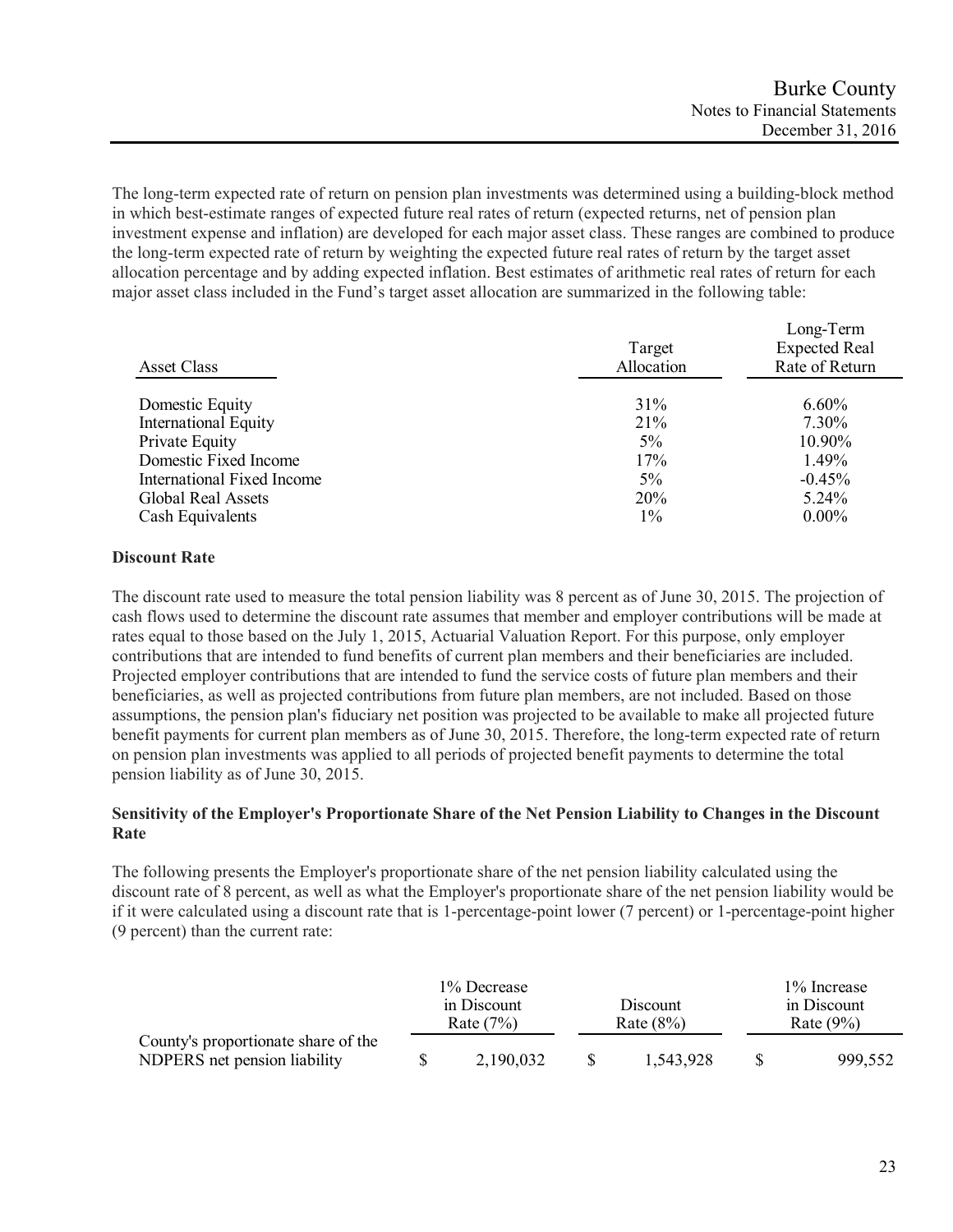The long-term expected rate of return on pension plan investments was determined using a building-block method in which best-estimate ranges of expected future real rates of return (expected returns, net of pension plan investment expense and inflation) are developed for each major asset class. These ranges are combined to produce the long-term expected rate of return by weighting the expected future real rates of return by the target asset allocation percentage and by adding expected inflation. Best estimates of arithmetic real rates of return for each major asset class included in the Fund's target asset allocation are summarized in the following table:

| Asset Class                 | Target<br>Allocation | Long-Term<br><b>Expected Real</b><br>Rate of Return |
|-----------------------------|----------------------|-----------------------------------------------------|
| Domestic Equity             | 31%                  | 6.60%                                               |
| <b>International Equity</b> | 21%                  | 7.30%                                               |
| Private Equity              | $5\%$                | 10.90%                                              |
| Domestic Fixed Income       | 17%                  | 1.49%                                               |
| International Fixed Income  | $5\%$                | $-0.45%$                                            |
| Global Real Assets          | 20%                  | 5.24%                                               |
| Cash Equivalents            | $1\%$                | $0.00\%$                                            |

# **Discount Rate**

The discount rate used to measure the total pension liability was 8 percent as of June 30, 2015. The projection of cash flows used to determine the discount rate assumes that member and employer contributions will be made at rates equal to those based on the July 1, 2015, Actuarial Valuation Report. For this purpose, only employer contributions that are intended to fund benefits of current plan members and their beneficiaries are included. Projected employer contributions that are intended to fund the service costs of future plan members and their beneficiaries, as well as projected contributions from future plan members, are not included. Based on those assumptions, the pension plan's fiduciary net position was projected to be available to make all projected future benefit payments for current plan members as of June 30, 2015. Therefore, the long-term expected rate of return on pension plan investments was applied to all periods of projected benefit payments to determine the total pension liability as of June 30, 2015.

# **Sensitivity of the Employer's Proportionate Share of the Net Pension Liability to Changes in the Discount Rate**

The following presents the Employer's proportionate share of the net pension liability calculated using the discount rate of 8 percent, as well as what the Employer's proportionate share of the net pension liability would be if it were calculated using a discount rate that is 1-percentage-point lower (7 percent) or 1-percentage-point higher (9 percent) than the current rate:

|                                                                     | 1% Decrease<br>in Discount | Discount<br>Rate $(8\%)$ |           | 1% Increase<br>in Discount |                         |
|---------------------------------------------------------------------|----------------------------|--------------------------|-----------|----------------------------|-------------------------|
| County's proportionate share of the<br>NDPERS net pension liability | Rate $(7%)$<br>2.190.032   |                          | 1.543.928 |                            | Rate $(9\%)$<br>999,552 |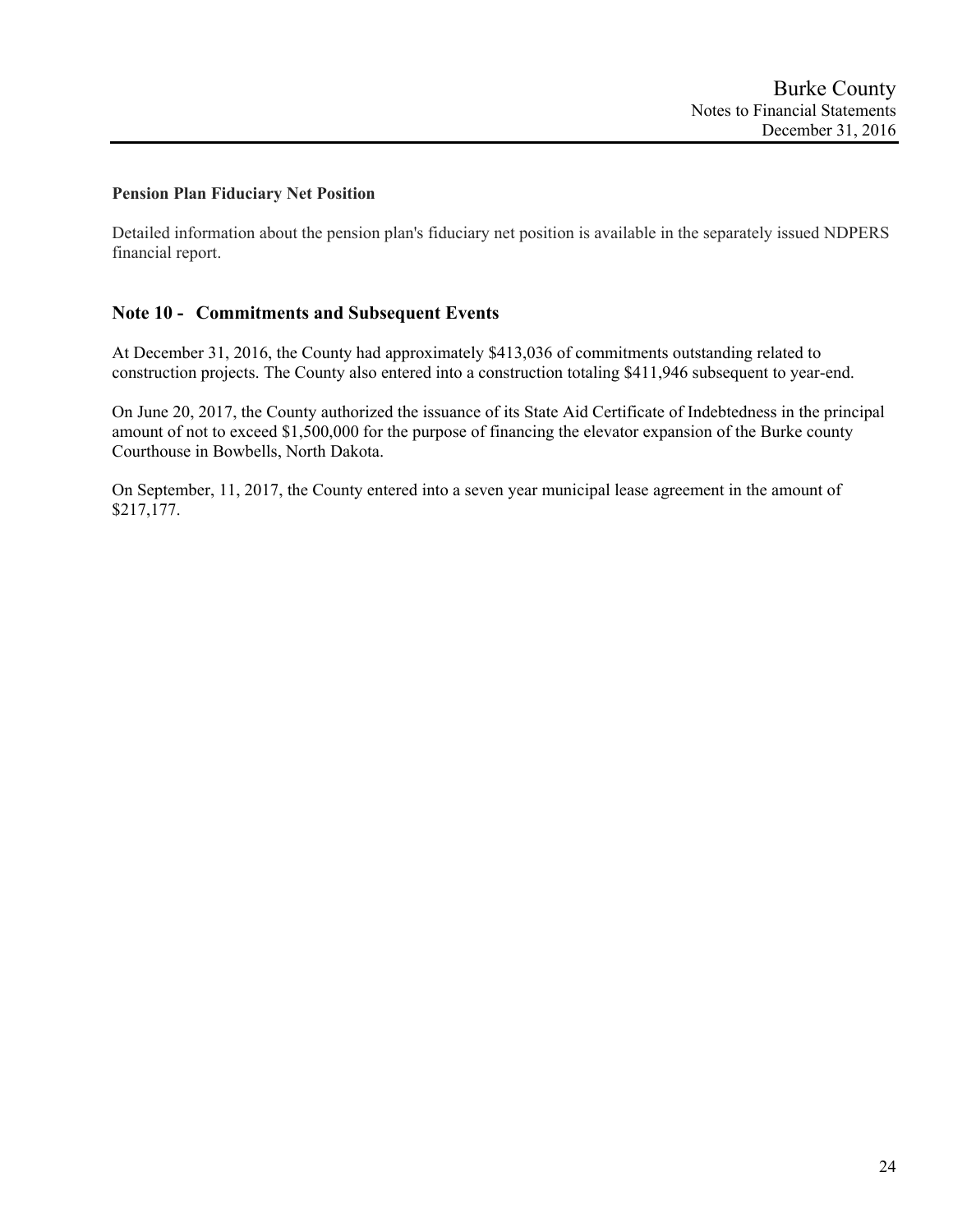### **Pension Plan Fiduciary Net Position**

Detailed information about the pension plan's fiduciary net position is available in the separately issued NDPERS financial report.

# **Note 10 - Commitments and Subsequent Events**

At December 31, 2016, the County had approximately \$413,036 of commitments outstanding related to construction projects. The County also entered into a construction totaling \$411,946 subsequent to year-end.

On June 20, 2017, the County authorized the issuance of its State Aid Certificate of Indebtedness in the principal amount of not to exceed \$1,500,000 for the purpose of financing the elevator expansion of the Burke county Courthouse in Bowbells, North Dakota.

On September, 11, 2017, the County entered into a seven year municipal lease agreement in the amount of \$217,177.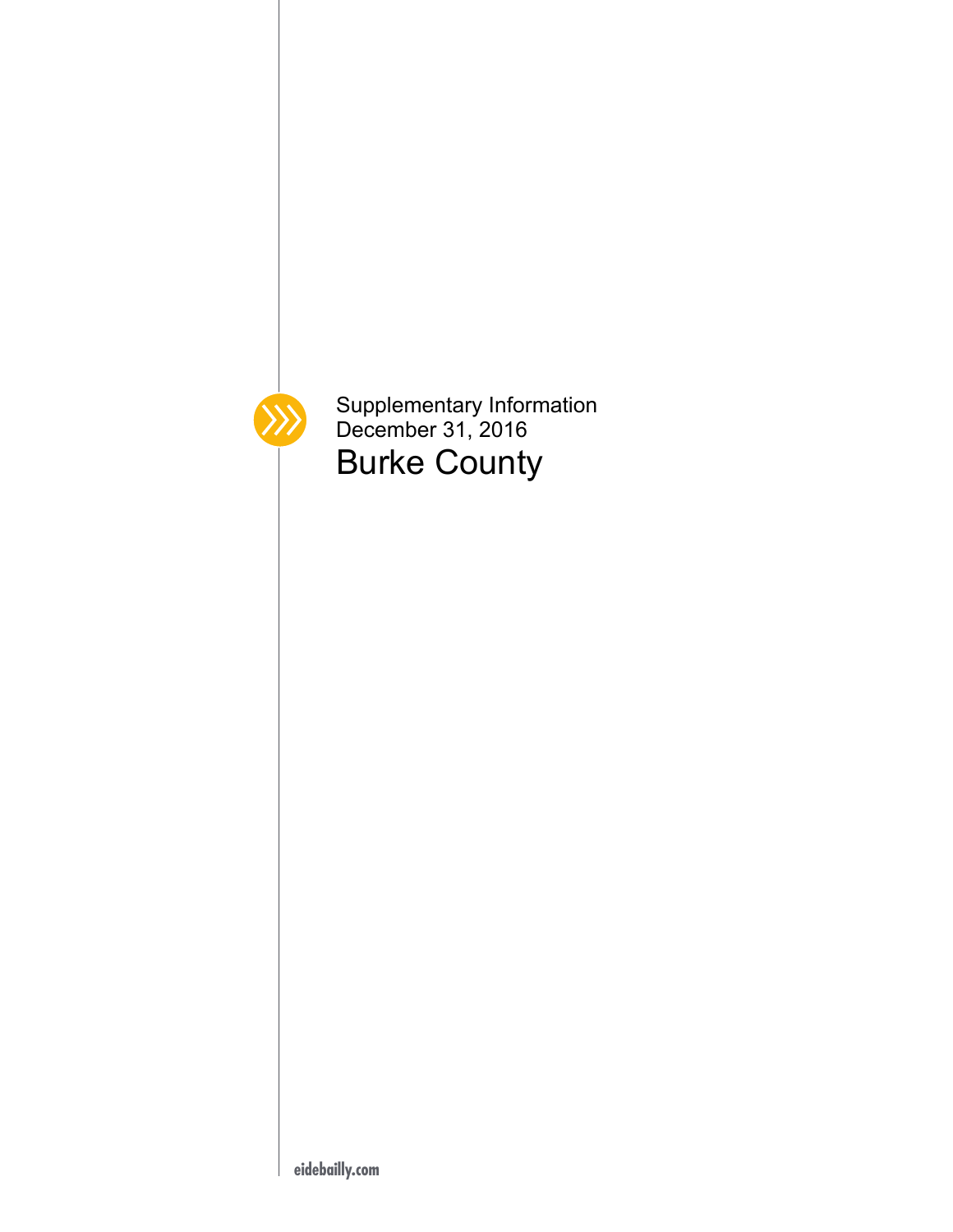

Supplementary Information December 31, 2016 Burke County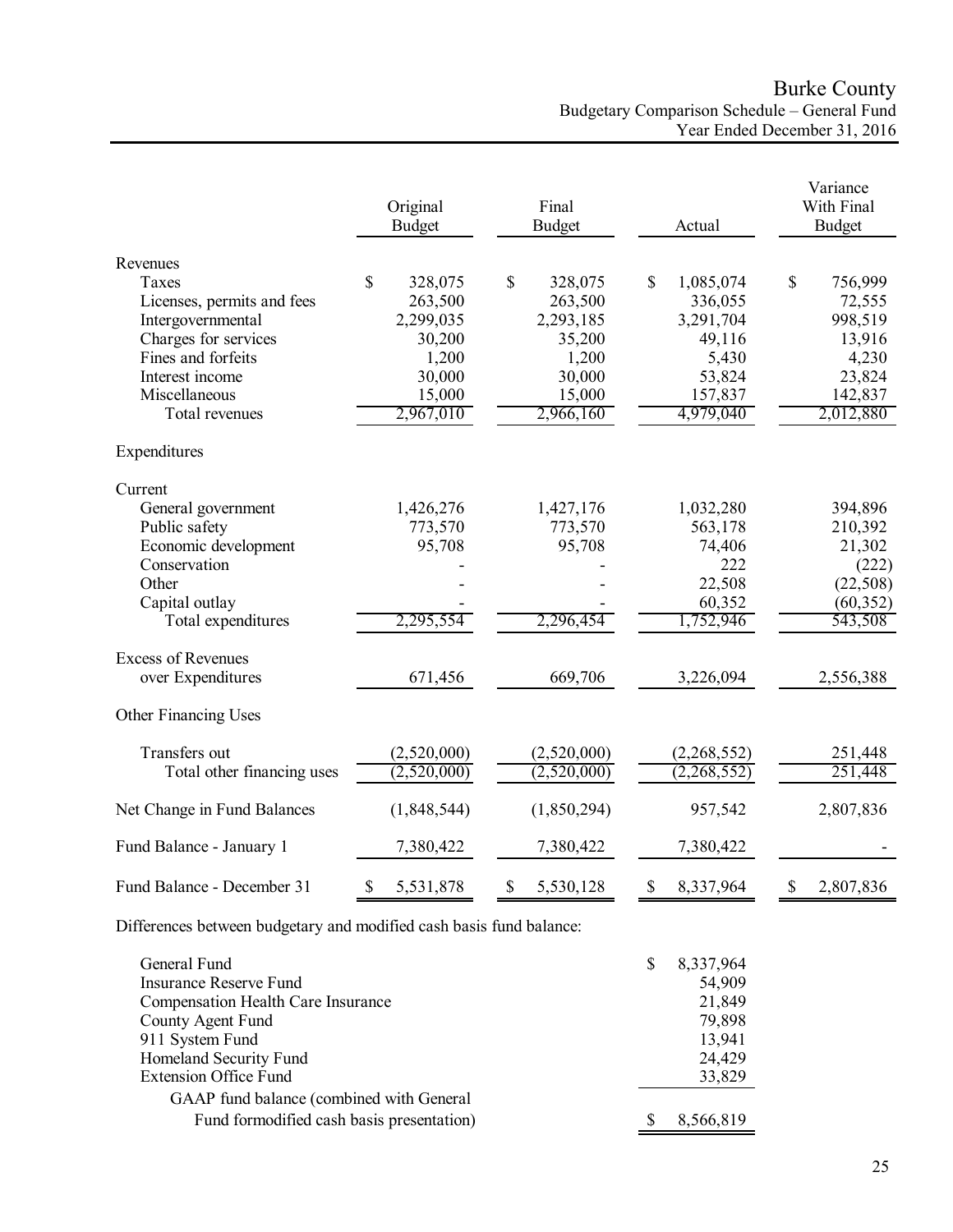# Burke County Budgetary Comparison Schedule – General Fund Year Ended December 31, 2016

|                                                                                                                                                                          | Original<br><b>Budget</b>                                                                 | Final<br><b>Budget</b>                                                                    | Actual                                                                                       | Variance<br>With Final<br><b>Budget</b>                                                 |  |
|--------------------------------------------------------------------------------------------------------------------------------------------------------------------------|-------------------------------------------------------------------------------------------|-------------------------------------------------------------------------------------------|----------------------------------------------------------------------------------------------|-----------------------------------------------------------------------------------------|--|
| Revenues<br>Taxes<br>Licenses, permits and fees<br>Intergovernmental<br>Charges for services<br>Fines and forfeits<br>Interest income<br>Miscellaneous<br>Total revenues | \$<br>328,075<br>263,500<br>2,299,035<br>30,200<br>1,200<br>30,000<br>15,000<br>2,967,010 | \$<br>328,075<br>263,500<br>2,293,185<br>35,200<br>1,200<br>30,000<br>15,000<br>2,966,160 | \$<br>1,085,074<br>336,055<br>3,291,704<br>49,116<br>5,430<br>53,824<br>157,837<br>4,979,040 | \$<br>756,999<br>72,555<br>998,519<br>13,916<br>4,230<br>23,824<br>142,837<br>2,012,880 |  |
| Expenditures                                                                                                                                                             |                                                                                           |                                                                                           |                                                                                              |                                                                                         |  |
| Current<br>General government<br>Public safety<br>Economic development<br>Conservation<br>Other<br>Capital outlay<br>Total expenditures                                  | 1,426,276<br>773,570<br>95,708<br>2,295,554                                               | 1,427,176<br>773,570<br>95,708<br>2,296,454                                               | 1,032,280<br>563,178<br>74,406<br>222<br>22,508<br>60,352<br>1,752,946                       | 394,896<br>210,392<br>21,302<br>(222)<br>(22,508)<br>(60, 352)<br>543,508               |  |
| <b>Excess of Revenues</b><br>over Expenditures                                                                                                                           | 671,456                                                                                   | 669,706                                                                                   | 3,226,094                                                                                    | 2,556,388                                                                               |  |
| <b>Other Financing Uses</b>                                                                                                                                              |                                                                                           |                                                                                           |                                                                                              |                                                                                         |  |
| Transfers out<br>Total other financing uses                                                                                                                              | (2,520,000)<br>(2,520,000)                                                                | (2,520,000)<br>(2,520,000)                                                                | (2,268,552)<br>(2,268,552)                                                                   | 251,448<br>251,448                                                                      |  |
| Net Change in Fund Balances                                                                                                                                              | (1,848,544)                                                                               | (1,850,294)                                                                               | 957,542                                                                                      | 2,807,836                                                                               |  |
| Fund Balance - January 1                                                                                                                                                 | 7,380,422                                                                                 | 7,380,422                                                                                 | 7,380,422                                                                                    |                                                                                         |  |
| Fund Balance - December 31                                                                                                                                               | 5,531,878<br>\$                                                                           | 5,530,128<br>S                                                                            | 8,337,964<br>\$                                                                              | 2,807,836<br>\$                                                                         |  |

Differences between budgetary and modified cash basis fund balance:

| General Fund                              | S | 8,337,964 |
|-------------------------------------------|---|-----------|
| Insurance Reserve Fund                    |   | 54,909    |
| <b>Compensation Health Care Insurance</b> |   | 21,849    |
| County Agent Fund                         |   | 79,898    |
| 911 System Fund                           |   | 13,941    |
| Homeland Security Fund                    |   | 24,429    |
| <b>Extension Office Fund</b>              |   | 33,829    |
| GAAP fund balance (combined with General  |   |           |
| Fund formodified cash basis presentation) |   | 8,566,819 |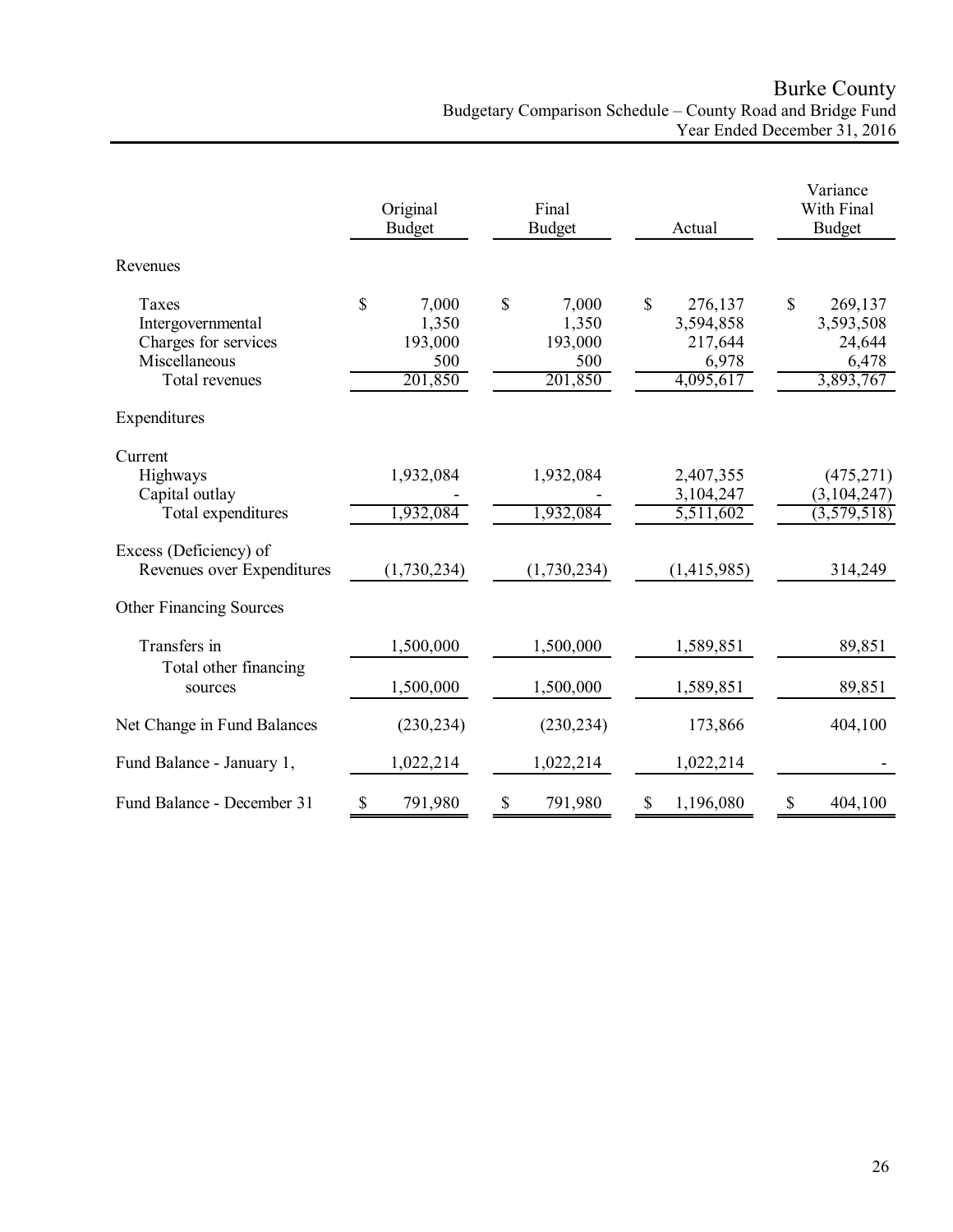Burke County Budgetary Comparison Schedule – County Road and Bridge Fund Year Ended December 31, 2016

|                                                                                       | Original<br>Budget                                | Final<br><b>Budget</b>                            | Actual                                                      | Variance<br>With Final<br><b>Budget</b>                    |  |
|---------------------------------------------------------------------------------------|---------------------------------------------------|---------------------------------------------------|-------------------------------------------------------------|------------------------------------------------------------|--|
| Revenues                                                                              |                                                   |                                                   |                                                             |                                                            |  |
| Taxes<br>Intergovernmental<br>Charges for services<br>Miscellaneous<br>Total revenues | \$<br>7,000<br>1,350<br>193,000<br>500<br>201,850 | \$<br>7,000<br>1,350<br>193,000<br>500<br>201,850 | \$<br>276,137<br>3,594,858<br>217,644<br>6,978<br>4,095,617 | \$<br>269,137<br>3,593,508<br>24,644<br>6,478<br>3,893,767 |  |
| Expenditures                                                                          |                                                   |                                                   |                                                             |                                                            |  |
| Current<br>Highways<br>Capital outlay<br>Total expenditures                           | 1,932,084<br>1,932,084                            | 1,932,084<br>1,932,084                            | 2,407,355<br>3,104,247<br>5,511,602                         | (475, 271)<br>(3, 104, 247)<br>(3,579,518)                 |  |
| Excess (Deficiency) of<br>Revenues over Expenditures                                  | (1,730,234)                                       | (1,730,234)                                       | (1,415,985)                                                 | 314,249                                                    |  |
| <b>Other Financing Sources</b>                                                        |                                                   |                                                   |                                                             |                                                            |  |
| Transfers in                                                                          | 1,500,000                                         | 1,500,000                                         | 1,589,851                                                   | 89,851                                                     |  |
| Total other financing<br>sources                                                      | 1,500,000                                         | 1,500,000                                         | 1,589,851                                                   | 89,851                                                     |  |
| Net Change in Fund Balances                                                           | (230, 234)                                        | (230, 234)                                        | 173,866                                                     | 404,100                                                    |  |
| Fund Balance - January 1,                                                             | 1,022,214                                         | 1,022,214                                         | 1,022,214                                                   |                                                            |  |
| Fund Balance - December 31                                                            | \$<br>791,980                                     | \$<br>791,980                                     | 1,196,080<br>\$                                             | \$<br>404,100                                              |  |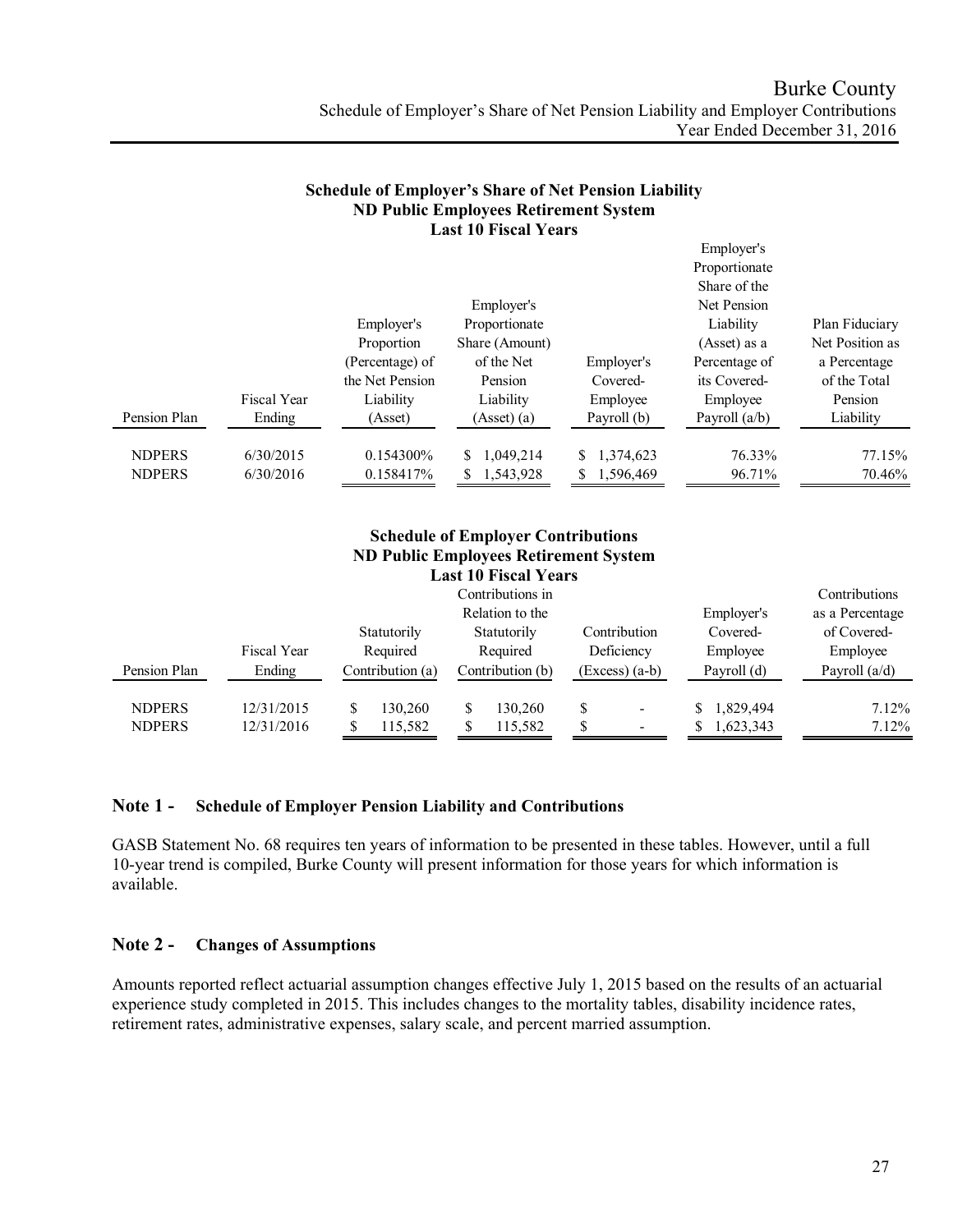Employer's

|               |             |                 |                  |                 | Proportionate   |                 |
|---------------|-------------|-----------------|------------------|-----------------|-----------------|-----------------|
|               |             |                 |                  |                 | Share of the    |                 |
|               |             |                 | Employer's       |                 | Net Pension     |                 |
|               |             | Employer's      | Proportionate    |                 | Liability       | Plan Fiduciary  |
|               |             | Proportion      | Share (Amount)   |                 | (Asset) as a    | Net Position as |
|               |             | (Percentage) of | of the Net       | Employer's      | Percentage of   | a Percentage    |
|               |             | the Net Pension | Pension          | Covered-        | its Covered-    | of the Total    |
|               | Fiscal Year | Liability       | Liability        | Employee        | Employee        | Pension         |
| Pension Plan  | Ending      | (Asset)         | $( Asset)$ $(a)$ | Payroll (b)     | Payroll $(a/b)$ | Liability       |
| <b>NDPERS</b> | 6/30/2015   | 0.154300\%      | 1,049,214<br>S.  | \$1,374,623     | 76.33%          | 77.15%          |
| <b>NDPERS</b> | 6/30/2016   | 0.158417%       | 1,543,928<br>S.  | 1,596,469<br>S. | 96.71%          | 70.46%          |
|               |             |                 |                  |                 |                 |                 |

#### **Schedule of Employer's Share of Net Pension Liability ND Public Employees Retirement System Last 10 Fiscal Years**

### **Schedule of Employer Contributions ND Public Employees Retirement System Last 10 Fiscal Years**

|               |             |   |                  | Contributions in |                          |             | Contributions   |
|---------------|-------------|---|------------------|------------------|--------------------------|-------------|-----------------|
|               |             |   |                  | Relation to the  |                          | Employer's  | as a Percentage |
|               |             |   | Statutorily      | Statutorily      | Contribution             | Covered-    | of Covered-     |
|               | Fiscal Year |   | Required         | Required         | Deficiency               | Employee    | Employee        |
| Pension Plan  | Ending      |   | Contribution (a) | Contribution (b) | $(Excess)$ (a-b)         | Payroll (d) | Payroll $(a/d)$ |
| <b>NDPERS</b> | 12/31/2015  | S | 130,260          | 130.260          | $\overline{\phantom{a}}$ | 1,829,494   | $7.12\%$        |
| <b>NDPERS</b> | 12/31/2016  |   | 115,582          | 115,582          | $\overline{\phantom{0}}$ | 1,623,343   | 7.12%           |

# **Note 1 - Schedule of Employer Pension Liability and Contributions**

GASB Statement No. 68 requires ten years of information to be presented in these tables. However, until a full 10-year trend is compiled, Burke County will present information for those years for which information is available.

# **Note 2 - Changes of Assumptions**

Amounts reported reflect actuarial assumption changes effective July 1, 2015 based on the results of an actuarial experience study completed in 2015. This includes changes to the mortality tables, disability incidence rates, retirement rates, administrative expenses, salary scale, and percent married assumption.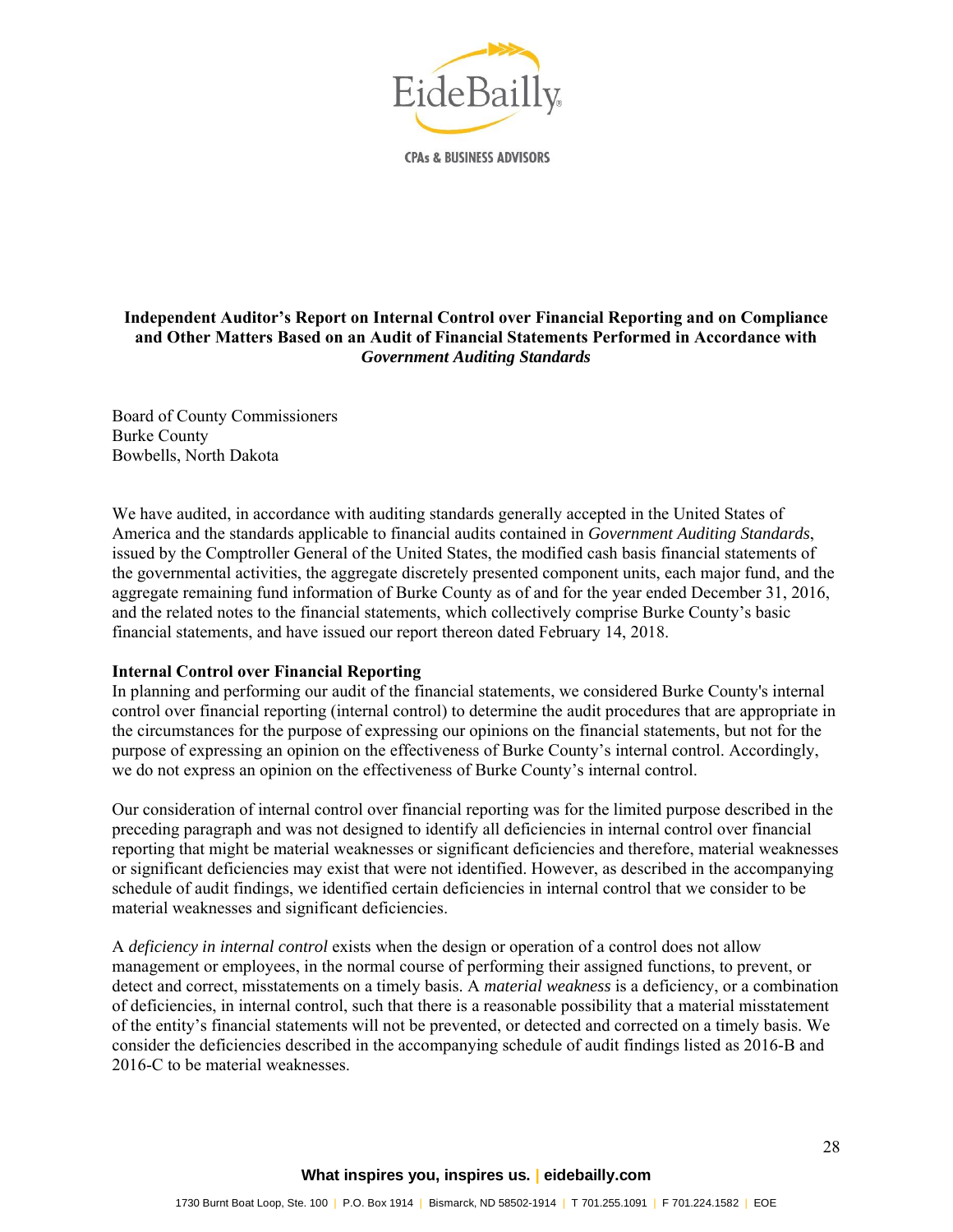

**CPAs & BUSINESS ADVISORS** 

# **Independent Auditor's Report on Internal Control over Financial Reporting and on Compliance and Other Matters Based on an Audit of Financial Statements Performed in Accordance with**  *Government Auditing Standards*

Board of County Commissioners Burke County Bowbells, North Dakota

We have audited, in accordance with auditing standards generally accepted in the United States of America and the standards applicable to financial audits contained in *Government Auditing Standards*, issued by the Comptroller General of the United States, the modified cash basis financial statements of the governmental activities, the aggregate discretely presented component units, each major fund, and the aggregate remaining fund information of Burke County as of and for the year ended December 31, 2016, and the related notes to the financial statements, which collectively comprise Burke County's basic financial statements, and have issued our report thereon dated February 14, 2018.

# **Internal Control over Financial Reporting**

In planning and performing our audit of the financial statements, we considered Burke County's internal control over financial reporting (internal control) to determine the audit procedures that are appropriate in the circumstances for the purpose of expressing our opinions on the financial statements, but not for the purpose of expressing an opinion on the effectiveness of Burke County's internal control. Accordingly, we do not express an opinion on the effectiveness of Burke County's internal control.

Our consideration of internal control over financial reporting was for the limited purpose described in the preceding paragraph and was not designed to identify all deficiencies in internal control over financial reporting that might be material weaknesses or significant deficiencies and therefore, material weaknesses or significant deficiencies may exist that were not identified. However, as described in the accompanying schedule of audit findings, we identified certain deficiencies in internal control that we consider to be material weaknesses and significant deficiencies.

A *deficiency in internal control* exists when the design or operation of a control does not allow management or employees, in the normal course of performing their assigned functions, to prevent, or detect and correct, misstatements on a timely basis. A *material weakness* is a deficiency, or a combination of deficiencies, in internal control, such that there is a reasonable possibility that a material misstatement of the entity's financial statements will not be prevented, or detected and corrected on a timely basis. We consider the deficiencies described in the accompanying schedule of audit findings listed as 2016-B and 2016-C to be material weaknesses.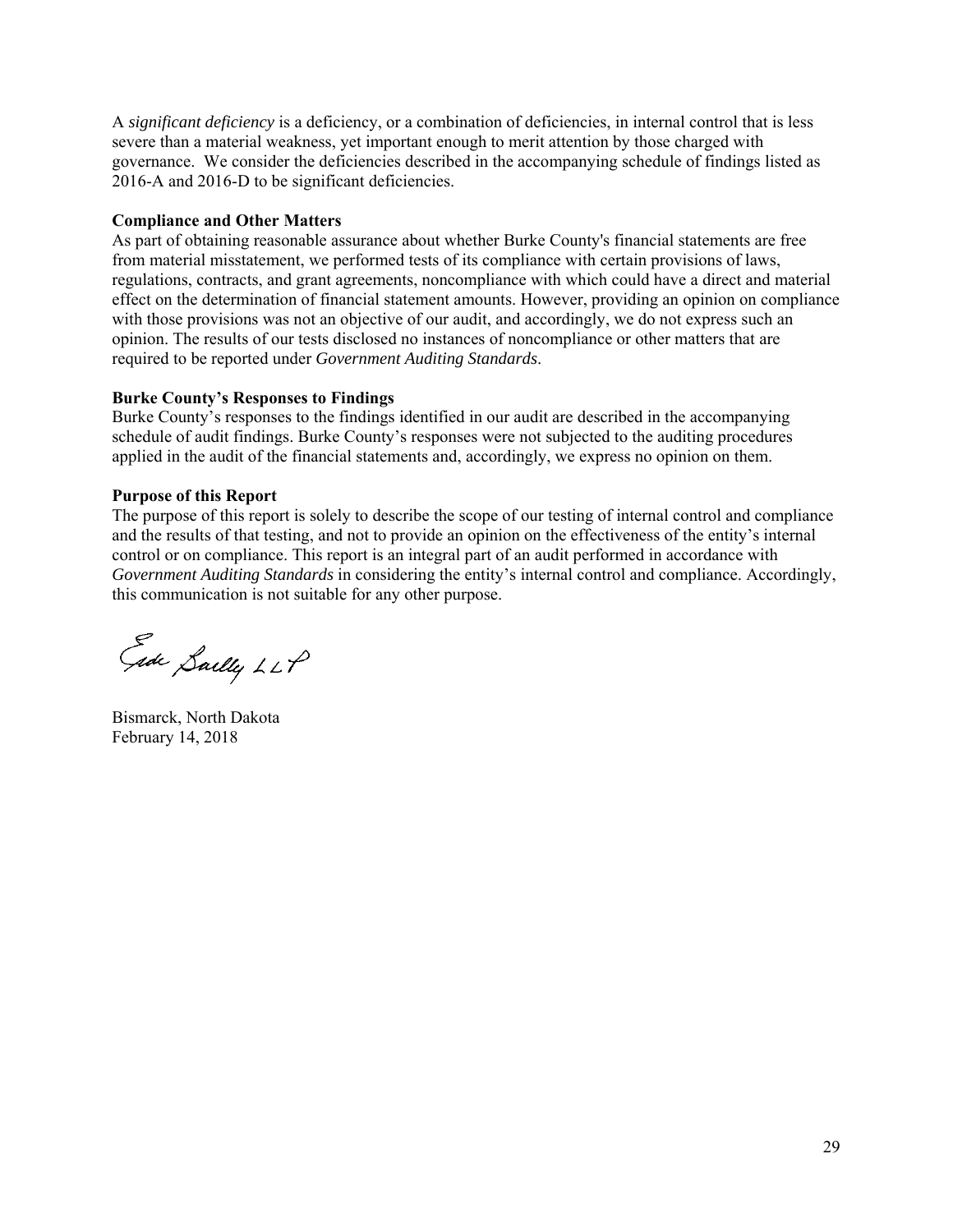A *significant deficiency* is a deficiency, or a combination of deficiencies, in internal control that is less severe than a material weakness, yet important enough to merit attention by those charged with governance. We consider the deficiencies described in the accompanying schedule of findings listed as 2016-A and 2016-D to be significant deficiencies.

# **Compliance and Other Matters**

As part of obtaining reasonable assurance about whether Burke County's financial statements are free from material misstatement, we performed tests of its compliance with certain provisions of laws, regulations, contracts, and grant agreements, noncompliance with which could have a direct and material effect on the determination of financial statement amounts. However, providing an opinion on compliance with those provisions was not an objective of our audit, and accordingly, we do not express such an opinion. The results of our tests disclosed no instances of noncompliance or other matters that are required to be reported under *Government Auditing Standards*.

#### **Burke County's Responses to Findings**

Burke County's responses to the findings identified in our audit are described in the accompanying schedule of audit findings. Burke County's responses were not subjected to the auditing procedures applied in the audit of the financial statements and, accordingly, we express no opinion on them.

#### **Purpose of this Report**

The purpose of this report is solely to describe the scope of our testing of internal control and compliance and the results of that testing, and not to provide an opinion on the effectiveness of the entity's internal control or on compliance. This report is an integral part of an audit performed in accordance with *Government Auditing Standards* in considering the entity's internal control and compliance. Accordingly, this communication is not suitable for any other purpose.

Gide Sailly LLP

Bismarck, North Dakota February 14, 2018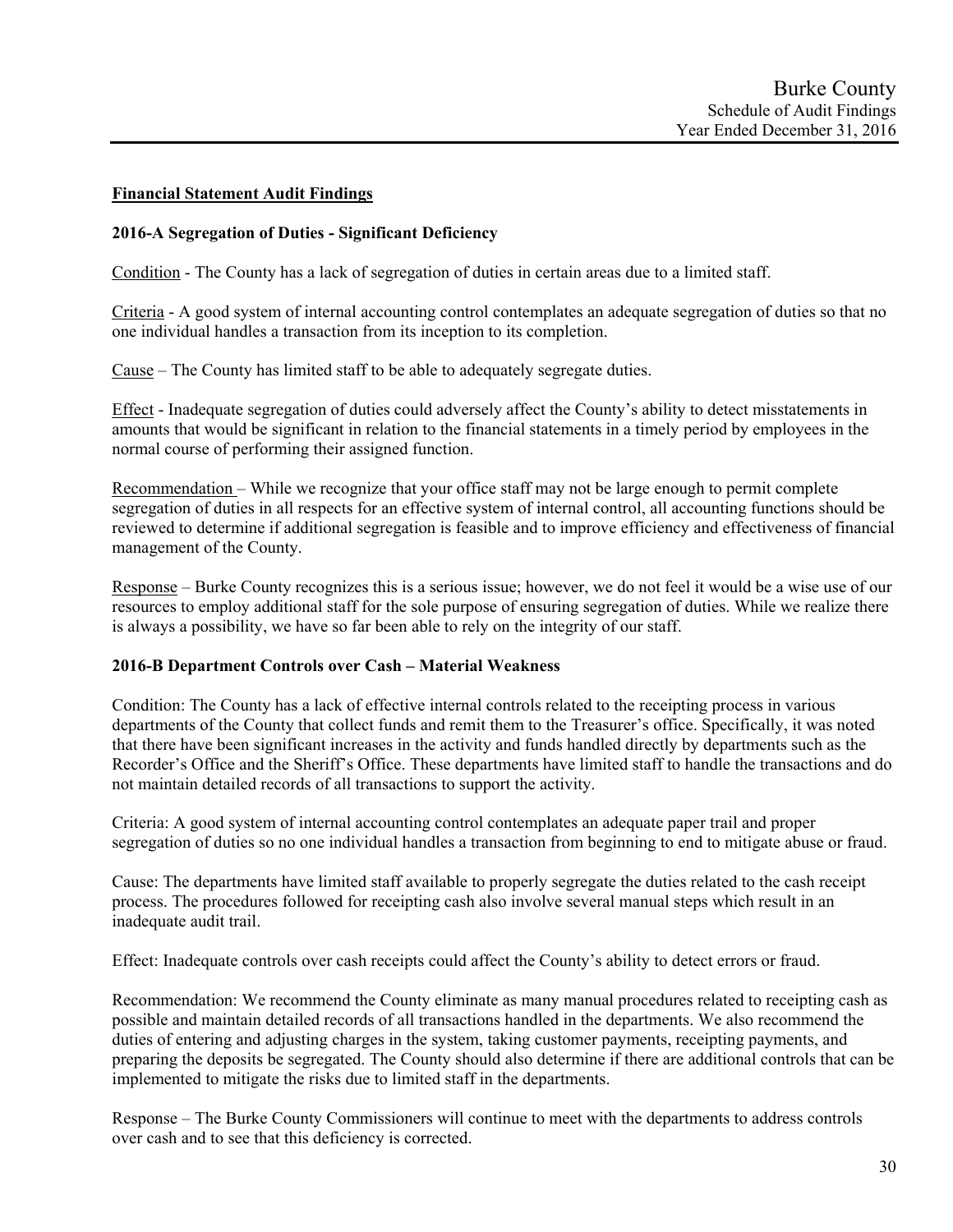# **Financial Statement Audit Findings**

# **2016-A Segregation of Duties - Significant Deficiency**

Condition - The County has a lack of segregation of duties in certain areas due to a limited staff.

Criteria - A good system of internal accounting control contemplates an adequate segregation of duties so that no one individual handles a transaction from its inception to its completion.

Cause – The County has limited staff to be able to adequately segregate duties.

Effect - Inadequate segregation of duties could adversely affect the County's ability to detect misstatements in amounts that would be significant in relation to the financial statements in a timely period by employees in the normal course of performing their assigned function.

Recommendation – While we recognize that your office staff may not be large enough to permit complete segregation of duties in all respects for an effective system of internal control, all accounting functions should be reviewed to determine if additional segregation is feasible and to improve efficiency and effectiveness of financial management of the County.

Response – Burke County recognizes this is a serious issue; however, we do not feel it would be a wise use of our resources to employ additional staff for the sole purpose of ensuring segregation of duties. While we realize there is always a possibility, we have so far been able to rely on the integrity of our staff.

# **2016-B Department Controls over Cash – Material Weakness**

Condition: The County has a lack of effective internal controls related to the receipting process in various departments of the County that collect funds and remit them to the Treasurer's office. Specifically, it was noted that there have been significant increases in the activity and funds handled directly by departments such as the Recorder's Office and the Sheriff's Office. These departments have limited staff to handle the transactions and do not maintain detailed records of all transactions to support the activity.

Criteria: A good system of internal accounting control contemplates an adequate paper trail and proper segregation of duties so no one individual handles a transaction from beginning to end to mitigate abuse or fraud.

Cause: The departments have limited staff available to properly segregate the duties related to the cash receipt process. The procedures followed for receipting cash also involve several manual steps which result in an inadequate audit trail.

Effect: Inadequate controls over cash receipts could affect the County's ability to detect errors or fraud.

Recommendation: We recommend the County eliminate as many manual procedures related to receipting cash as possible and maintain detailed records of all transactions handled in the departments. We also recommend the duties of entering and adjusting charges in the system, taking customer payments, receipting payments, and preparing the deposits be segregated. The County should also determine if there are additional controls that can be implemented to mitigate the risks due to limited staff in the departments.

Response – The Burke County Commissioners will continue to meet with the departments to address controls over cash and to see that this deficiency is corrected.